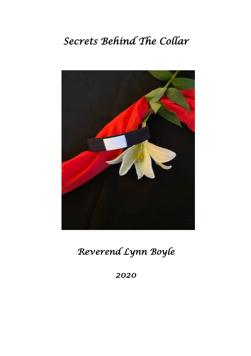# *Secrets Behind The Collar*



# *Reverend Lynn Boyle*

*2020*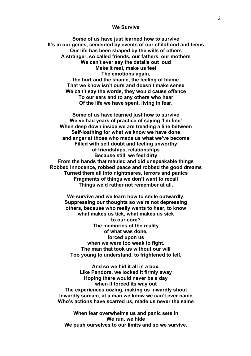#### **We Survive**

**Some of us have just learned how to survive It's in our genes, cemented by events of our childhood and teens Our life has been shaped by the wills of others A stranger, so called friends, our fathers, our mothers We can't ever say the details out loud Make it real, make us feel The emotions again, the hurt and the shame, the feeling of blame That we know isn't ours and doesn't make sense We can't say the words, they would cause offence To our ears and to any others who hear Of the life we have spent, living in fear.**

**Some of us have learned just how to survive We've had years of practice of saying 'I'm fine' When deep down inside we are treading a line between Self-loathing for what we know we have done and anger at those who made us what we've become Filled with self doubt and feeling unworthy of friendships, relationships Because still, we feel dirty From the hands that mauled and did unspeakable things Robbed innocence, robbed peace and robbed the good dreams Turned them all into nightmares, terrors and panics Fragments of things we don't want to recall Things we'd rather not remember at all.**

**We survive and we learn how to smile outwardly, Suppressing our thoughts so we're not depressing others, because who really wants to hear, to know what makes us tick, what makes us sick to our core? The memories of the reality of what was done, forced upon us when we were too weak to fight. The man that took us without our will Too young to understand, to frightened to tell.**

**And so we hid it all in a box, Like Pandora, we locked it firmly away Hoping there would never be a day when it forced its way out The experiences oozing, making us inwardly shout Inwardly scream, at a man we know we can't ever name Who's actions have scarred us, made us never the same**

**When fear overwhelms us and panic sets in We run, we hide We push ourselves to our limits and so we survive.**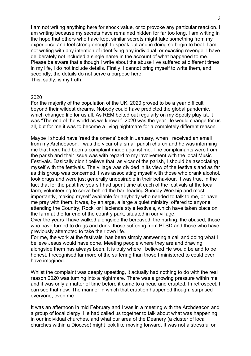I am not writing anything here for shock value, or to provoke any particular reaction. I am writing because my secrets have remained hidden for far too long. I am writing in the hope that others who have kept similar secrets might take something from my experience and feel strong enough to speak out and in doing so begin to heal. I am not writing with any intention of identifying any individual, or exacting revenge. I have deliberately not included a single name in the account of what happened to me. Please be aware that although I write about the abuse I've suffered at different times in my life, I do not include details. Firstly, I cannot bring myself to write them, and secondly, the details do not serve a purpose here. This, sadly, is my truth.

## 2020

For the majority of the population of the UK, 2020 proved to be a year difficult beyond their wildest dreams. Nobody could have predicted the global pandemic, which changed life for us all. As REM belted out regularly on my Spotify playlist, it was "The end of the world as we know it'. 2020 was the year life would change for us all, but for me it was to become a living nightmare for a completely different reason.

Maybe I should have 'read the omens' back in January, when I received an email from my Archdeacon. I was the vicar of a small parish church and he was informing me that there had been a complaint made against me. The complainants were from the parish and their issue was with regard to my involvement with the local Music Festivals. Basically didn't believe that, as vicar of the parish, I should be associating myself with the festivals. The village was divided in its view of the festivals and as far as this group was concerned, I was associating myself with those who drank alcohol, took drugs and were just generally undesirable in their behaviour. It was true, in the fact that for the past five years I had spent time at each of the festivals at the local farm, volunteering to serve behind the bar, leading Sunday Worship and most importantly, making myself available for anybody who needed to talk to me, or have me pray with them. It was, by enlarge, a large a quiet ministry, offered to anyone attending the Country, Rock, or Hacienda style festivals, which have taken place on the farm at the far end of the country park, situated in our village.

Over the years I have walked alongside the bereaved, the hurting, the abused, those who have turned to drugs and drink, those suffering from PTSD and those who have previously attempted to take their own life.

For me, the work at the festivals, has been simply answering a call and doing what I believe Jesus would have done. Meeting people where they are and drawing alongside them has always been. It is truly where I believed He would be and to be honest, I recognised far more of the suffering than those I ministered to could ever have imagined…

Whilst the complaint was deeply upsetting, it actually had nothing to do with the real reason 2020 was turning into a nightmare. There was a growing pressure within me and it was only a matter of time before it came to a head and erupted. In retrospect, I can see that now. The manner in which that eruption happened though, surprised everyone, even me.

It was an afternoon in mid February and I was in a meeting with the Archdeacon and a group of local clergy. He had called us together to talk about what was happening in our individual churches, and what our area of the Deanery (a cluster of local churches within a Diocese) might look like moving forward. It was not a stressful or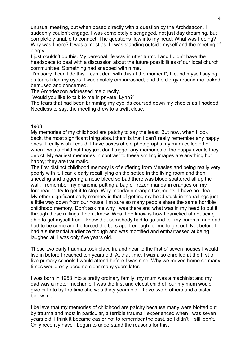unusual meeting, but when posed directly with a question by the Archdeacon, I suddenly couldn't engage. I was completely disengaged, not just day dreaming, but completely unable to connect. The questions flew into my head: What was I doing? Why was I here? It was almost as if I was standing outside myself and the meeting of clergy.

I just couldn't do this. My personal life was in utter turmoil and I didn't have the headspace to deal with a discussion about the future possibilities of our local church communities. Something had snapped within me.

"I'm sorry, I can't do this, I can't deal with this at the moment", I found myself saying, as tears filled my eyes. I was acutely embarrassed, and the clergy around me looked bemused and concerned.

The Archdeacon addressed me directly.

"Would you like to talk to me in private, Lynn?"

The tears that had been brimming my eyelids coursed down my cheeks as I nodded. Needless to say, the meeting drew to a swift close.

# 1963

My memories of my childhood are patchy to say the least. But now, when I look back, the most significant thing about them is that I can't really remember any happy ones. I really wish I could. I have boxes of old photographs my mum collected of when I was a child but they just don't trigger any memories of the happy events they depict. My earliest memories in contrast to these smiling images are anything but happy; they are traumatic.

The first distinct childhood memory is of suffering from Measles and being really very poorly with it. I can clearly recall lying on the settee in the living room and then sneezing and triggering a nose bleed so bad there was blood spattered all up the wall. I remember my grandma putting a bag of frozen mandarin oranges on my forehead to try to get it to stop. Why mandarin orange tsegments, I have no idea My other significant early memory is that of getting my head stuck in the railings just a little way down from our house. I'm sure so many people share the same horrible childhood memory. Don't ask me why I was there and what was in my head to put it through those railings. I don't know. What I do know is how I panicked at not being able to get myself free. I know that somebody had to go and tell my parents, and dad had to be come and he forced the bars apart enough for me to get out. Not before I had a substantial audience though and was mortified and embarrassed at being laughed at. I was only five years old.

These two early traumas took place in, and near to the first of seven houses I would live in before I reached ten years old. At that time, I was also enrolled at the first of five primary schools I would attend before I was nine. Why we moved home so many times would only become clear many years later.

I was born in 1958 into a pretty ordinary family; my mum was a machinist and my dad was a motor mechanic. I was the first and eldest child of four my mum would give birth to by the time she was thirty years old. I have two brothers and a sister below me.

I believe that my memories of childhood are patchy because many were blotted out by trauma and most in particular, a terrible trauma I experienced when I was seven years old. I think it became easier not to remember the past, so I didn't. I still don't. Only recently have I begun to understand the reasons for this.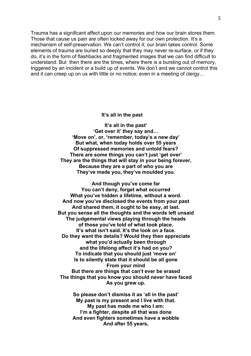Trauma has a significant affect upon our memories and how our brain stores them. Those that cause us pain are often locked away for our own protection. It's a mechanism of self-preservation. We can't control it; our brain takes control. Some elements of trauma are buried so deeply that they may never re-surface, or if they do, it's in the form of flashbacks and fragmented images that we can find difficult to understand. But then there are the times, where there is a bursting out of memory, triggered by an incident or a build up of events. We don't and we cannot control this and it can creep up on us with little or no notice; even in a meeting of clergy…

#### **It's all in the past**

**It's all in the past' 'Get over it' they say and… 'Move on', or, 'remember, today's a new day' But what, when today holds over 55 years Of suppressed memories and untold fears? There are some things you can't just 'get over' They are the things that will stay in your being forever, Because they are a part of who you are They've made you, they've moulded you.**

**And though you've come far You can't deny, forget what occurred What you've hidden a lifetime, without a word. And now you've disclosed the events from your past And shared them, it ought to be easy, at last. But you sense all the thoughts and the words left unsaid The judgemental views playing through the heads of those you've told of what took place. It's what isn't said. It's the look on a face. Do they want the details? Would they then appreciate what you'd actually been through and the lifelong affect it's had on you? To indicate that you should just 'move on' Is to silently state that it should be all gone From your mind But there are things that can't ever be erased The things that you know you should never have faced As you grew up.**

> **So please don't dismiss it as 'all in the past' My past is my present and I live with that. My past has made me who I am: I'm a fighter, despite all that was done And even fighters sometimes have a wobble And after 55 years,**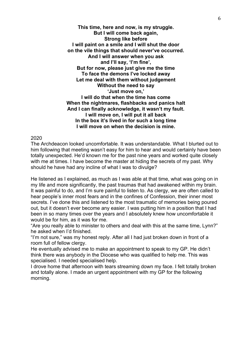**This time, here and now, is my struggle. But I will come back again, Strong like before I will paint on a smile and I will shut the door on the vile things that should never've occurred. And I will answer when you ask and I'll say, 'I'm fine', But for now, please just give me the time To face the demons I've locked away Let me deal with them without judgement Without the need to say 'Just move on,' I will do that when the time has come When the nightmares, flashbacks and panics halt And I can finally acknowledge, it wasn't my fault. I will move on, I will put it all back In the box it's lived in for such a long time I will move on when the decision is mine.**

## 2020

The Archdeacon looked uncomfortable. It was understandable. What I blurted out to him following that meeting wasn't easy for him to hear and would certainly have been totally unexpected. He'd known me for the past nine years and worked quite closely with me at times. I have become the master at hiding the secrets of my past. Why should he have had any incline of what I was to divulge?

He listened as I explained, as much as I was able at that time, what was going on in my life and more significantly, the past traumas that had awakened within my brain. It was painful to do, and I'm sure painful to listen to. As clergy, we are often called to hear people's inner most fears and in the confines of Confession, their inner most secrets. I've done this and listened to the most traumatic of memories being poured out, but it doesn't ever become any easier. I was putting him in a position that I had been in so many times over the years and I absolutely knew how uncomfortable it would be for him, as it was for me.

"Are you really able to minister to others and deal with this at the same time, Lynn?" he asked when I'd finished.

"I'm not sure," was my honest reply. After all I had just broken down in front of a room full of fellow clergy.

He eventually advised me to make an appointment to speak to my GP. He didn't think there was anybody in the Diocese who was qualified to help me. This was specialised. I needed specialised help.

I drove home that afternoon with tears streaming down my face. I felt totally broken and totally alone. I made an urgent appointment with my GP for the following morning.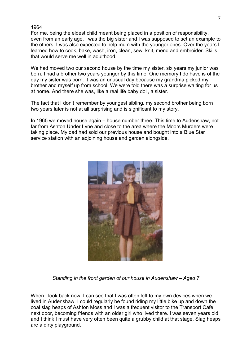For me, being the eldest child meant being placed in a position of responsibility, even from an early age. I was the big sister and I was supposed to set an example to the others. I was also expected to help mum with the younger ones. Over the years I learned how to cook, bake, wash, iron, clean, sew, knit, mend and embroider. Skills that would serve me well in adulthood.

We had moved two our second house by the time my sister, six years my junior was born. I had a brother two years younger by this time. One memory I do have is of the day my sister was born. It was an unusual day because my grandma picked my brother and myself up from school. We were told there was a surprise waiting for us at home. And there she was, like a real life baby doll, a sister.

The fact that I don't remember by youngest sibling, my second brother being born two years later is not at all surprising and is significant to my story.

In 1965 we moved house again – house number three. This time to Audenshaw, not far from Ashton Under Lyne and close to the area where the Moors Murders were taking place. My dad had sold our previous house and bought into a Blue Star service station with an adjoining house and garden alongside.



*Standing in the front garden of our house in Audenshaw – Aged 7*

When I look back now, I can see that I was often left to my own devices when we lived in Audenshaw. I could regularly be found riding my little bike up and down the coal slag heaps of Ashton Moss and I was a frequent visitor to the Transport Cafe next door, becoming friends with an older girl who lived there. I was seven years old and I think I must have very often been quite a grubby child at that stage. Slag heaps are a dirty playground.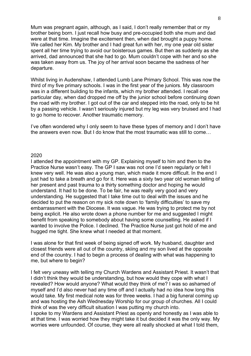Mum was pregnant again, although, as I said, I don't really remember that or my brother being born. I just recall how busy and pre-occupied both she mum and dad were at that time. Imagine the excitement then, when dad brought a puppy home. We called her Kim. My brother and I had great fun with her, my one year old sister spent all her time trying to avoid our boisterous games. But then as suddenly as she arrived, dad announced that she had to go. Mum couldn't cope with her and so she was taken away from us. The joy of her arrival soon became the sadness of her departure.

Whilst living in Audenshaw, I attended Lumb Lane Primary School. This was now the third of my five primary schools. I was in the first year of the juniors. My classroom was in a different building to the infants, which my brother attended. I recall one particular day, when dad dropped me off by the junior school before continuing down the road with my brother. I got out of the car and stepped into the road, only to be hit by a passing vehicle. I wasn't seriously injured but my leg was very bruised and I had to go home to recover. Another traumatic memory.

I've often wondered why I only seem to have these types of memory and I don't have the answers even now. But I do know that the most traumatic was still to come…

#### 2020

I attended the appointment with my GP. Explaining myself to him and then to the Practice Nurse wasn't easy. The GP I saw was not one I'd seen regularly or felt I knew very well. He was also a young man, which made it more difficult. In the end I just had to take a breath and go for it. Here was a sixty two year old woman telling of her present and past trauma to a thirty something doctor and hoping he would understand. It had to be done. To be fair, he was really very good and very understanding. He suggested that I take time out to deal with the issues and he decided to put the reason on my sick note down to 'family difficulties' to save my embarrassment with the Diocese. It was vague. He was trying to protect me by not being explicit. He also wrote down a phone number for me and suggested I might benefit from speaking to somebody about having some counselling. He asked if I wanted to involve the Police. I declined. The Practice Nurse just got hold of me and hugged me tight. She knew what I needed at that moment.

I was alone for that first week of being signed off work. My husband, daughter and closest friends were all out of the country, skiing and my son lived at the opposite end of the country. I had to begin a process of dealing with what was happening to me, but where to begin?

I felt very uneasy with telling my Church Wardens and Assistant Priest. It wasn't that I didn't think they would be understanding, but how would they cope with what I revealed? How would anyone? What would they think of me? I was so ashamed of myself and I'd also never had any time off and I actually had no idea how long this would take. My first medical note was for three weeks. I had a big funeral coming up and was hosting the Ash Wednesday Worship for our group of churches. All I could think of was the very difficult situation I was putting my church into.

I spoke to my Wardens and Assistant Priest as openly and honestly as I was able to at that time. I was worried how they might take it but decided it was the only way. My worries were unfounded. Of course, they were all really shocked at what I told them,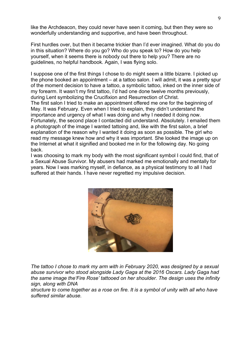like the Archdeacon, they could never have seen it coming, but then they were so wonderfully understanding and supportive, and have been throughout.

First hurdles over, but then it became trickier than I'd ever imagined. What do you do in this situation? Where do you go? Who do you speak to? How do you help yourself, when it seems there is nobody out there to help you? There are no guidelines, no helpful handbook. Again, I was flying solo.

I suppose one of the first things I chose to do might seem a little bizarre. I picked up the phone booked an appointment – at a tattoo salon. I will admit, it was a pretty spur of the moment decision to have a tattoo, a symbolic tattoo, inked on the inner side of my forearm. It wasn't my first tattoo, I'd had one done twelve months previously, during Lent symbolizing the Crucifixion and Resurrection of Christ.

The first salon I tried to make an appointment offered me one for the beginning of May. It was February. Even when I tried to explain, they didn't understand the importance and urgency of what I was doing and why I needed it doing now. Fortunately, the second place I contacted did understand. Absolutely. I emailed them a photograph of the image I wanted tattoing and, like with the first salon, a brief explanation of the reason why I wanted it doing as soon as possible. The girl who read my message knew how and why it was important. She looked the image up on the Internet at what it signified and booked me in for the following day. No going back.

I was choosing to mark my body with the most significant symbol I could find, that of a Sexual Abuse Survivor. My abusers had marked me emotionally and mentally for years. Now I was marking myself, in defiance, as a physical testimony to all I had suffered at their hands. I have never regretted my impulsive decision.



*The tattoo I chose to mark my arm with in February 2020, was designed by a sexual abuse survivor who stood alongside Lady Gaga at the 2016 Oscars. Lady Gaga had the same image the'Fire Rose' tattooed on her shoulder. The design uses the infinity sign, along with DNA*

*structure to come together as a rose on fire. It is a symbol of unity with all who have suffered similar abuse.*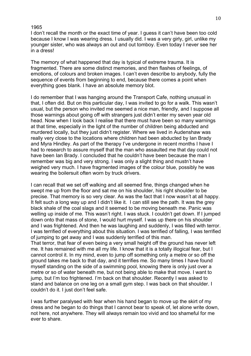I don't recall the month or the exact time of year. I guess it can't have been too cold because I know I was wearing dress. I usually did. I was a very girly, girl, unlike my younger sister, who was always an out and out tomboy. Even today I never see her in a dress!

The memory of what happened that day is typical of extreme trauma. It is fragmented. There are some distinct memories, and then flashes of feelings, of emotions, of colours and broken images. I can't even describe to anybody, fully the sequence of events from beginning to end, because there comes a point when everything goes blank. I have an absolute memory blot.

I do remember that I was hanging around the Transport Cafe, nothing unusual in that, I often did. But on this particular day, I was invited to go for a walk. This wasn't usual, but the person who invited me seemed a nice man, friendly, and I suppose all those warnings about going off with strangers just didn't enter my seven year old head. Now when I look back I realise that there must have been so many warnings at that time, especially in the light of the number of children being abducted and murdered locally, but they just didn't register. Where we lived in Audenshaw was really very close to the locations where children had been abducted by Ian Brady and Myra Hindley. As part of the therapy I've undergone in recent months I have I had to research to assure myself that the man who assaulted me that day could not have been Ian Brady. I concluded that he couldn't have been because the man I remember was big and very strong. I was only a slight thing and mustn't have weighed very much. I have fragmented images of the colour blue, possibly he was wearing the boilersuit often worn by truck drivers.

I can recall that we set off walking and all seemed fine, things changed when he swept me up from the floor and sat me on his shoulder, his right shoulder to be precise. That memory is so very clear. As was the fact that I now wasn't at all happy. It felt such a long way up and I didn't like it. I can still see the path. It was the grey black shale of the coal slags and it seemed to be moving beneath me. Panic was welling up inside of me. This wasn't right. I was stuck. I couldn't get down. If I jumped down onto that mass of stone, I would hurt myself. I was up there on his shoulder and I was frightened. And then he was laughing and suddenly, I was filled with terror. I was terrified of everything about this situation. I was terrified of falling, I was terrified of jumping to get away and I was suddenly terrified of this man.

That terror, that fear of even being a very small height off the ground has never left me. It has remained with me all my life. I know that it is a totally illogical fear, but I cannot control it. In my mind, even to jump off something only a metre or so off the ground takes me back to that day, and it terrifies me. So many times I have found myself standing on the side of a swimming pool, knowing there is only just over a metre or so of water beneath me, but not being able to make that move. I want to jump, but I'm too frightened. I'm back on that shoulder. Recently I was asked to stand and balance on one leg on a small gym step. I was back on that shoulder. I couldn't do it. I just don't feel safe.

I was further paralysed with fear when his hand began to move up the skirt of my dress and he began to do things that I cannot bear to speak of, let alone write down, not here, not anywhere. They will always remain too vivid and too shameful for me ever to share.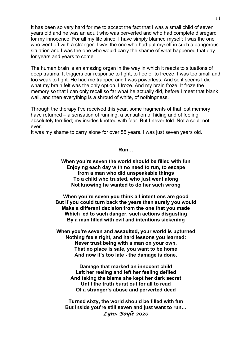It has been so very hard for me to accept the fact that I was a small child of seven years old and he was an adult who was perverted and who had complete disregard for my innocence. For all my life since, I have simply blamed myself; I was the one who went off with a stranger. I was the one who had put myself in such a dangerous situation and I was the one who would carry the shame of what happened that day for years and years to come.

The human brain is an amazing organ in the way in which it reacts to situations of deep trauma. It triggers our response to fight, to flee or to freeze. I was too small and too weak to fight. He had me trapped and I was powerless. And so it seems I did what my brain felt was the only option. I froze. And my brain froze. It froze the memory so that I can only recall so far what he actually did, before I meet that blank wall, and then everything is a shroud of white, of nothingness.

Through the therapy I've received this year, some fragments of that lost memory have returned – a sensation of running, a sensation of hiding and of feeling absolutely terrified; my insides knotted with fear. But I never told. Not a soul, not ever.

It was my shame to carry alone for over 55 years. I was just seven years old.

#### **Run…**

**When you're seven the world should be filled with fun Enjoying each day with no need to run, to escape from a man who did unspeakable things To a child who trusted, who just went along Not knowing he wanted to do her such wrong**

**When you're seven you think all intentions are good But if you could turn back the years then surely you would Make a different decision from the one that you made Which led to such danger, such actions disgusting By a man filled with evil and intentions sickening**

**When you're seven and assaulted, your world is upturned Nothing feels right, and hard lessons you learned: Never trust being with a man on your own, That no place is safe, you want to be home And now it's too late - the damage is done.**

> **Damage that marked an innocent child Left her reeling and left her feeling defiled And taking the blame she kept her dark secret Until the truth burst out for all to read Of a stranger's abuse and perverted deed**

**Turned sixty, the world should be filled with fun But inside you're still seven and just want to run…** *Lynn Boyle 2020*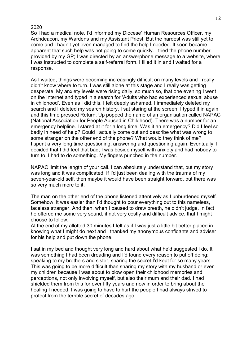So I had a medical note, I'd informed my Diocese' Human Resources Officer, my Archdeacon, my Wardens and my Assistant Priest. But the hardest was still yet to come and I hadn't yet even managed to find the help I needed. It soon became apparent that such help was not going to come quickly. I tried the phone number provided by my GP; I was directed by an answerphone message to a website, where I was instructed to complete a self-referral form. I filled it in and I waited for a response.

As I waited, things were becoming increasingly difficult on many levels and I really didn't know where to turn. I was still alone at this stage and I really was getting desperate. My anxiety levels were rising daily, so much so, that one evening I went on the Internet and typed in a search for 'Adults who had experienced sexual abuse in childhood'. Even as I did this, I felt deeply ashamed. I immediately deleted my search and I deleted my search history. I sat staring at the screen. I typed it in again and this time pressed Return. Up popped the name of an organisation called NAPAC (National Association for People Abused in Childhood). There was a number for an emergency helpline. I stared at it for a long time. Was it an emergency? Did I feel so badly in need of help? Could I actually come out and describe what was wrong to some stranger on the other end of the phone? What would they think of me? I spent a very long time questioning, answering and questioning again. Eventually, I decided that I did feel that bad; I was beside myself with anxiety and had nobody to turn to. I had to do something. My fingers punched in the number.

NAPAC limit the length of your call. I can absolutely understand that, but my story was long and it was complicated. If I'd just been dealing with the trauma of my seven-year-old self, then maybe it would have been straight forward, but there was so very much more to it.

The man on the other end of the phone listened attentively as I unburdened myself. Somehow, it was easier than I'd thought to pour everything out to this nameless, faceless stranger. And then, when I paused to draw breath, he didn't judge. In fact he offered me some very sound, if not very costly and difficult advice, that I might choose to follow.

At the end of my allotted 30 minutes I felt as if I was just a little bit better placed in knowing what I might do next and I thanked my anonymous confidante and adviser for his help and put down the phone.

I sat in my bed and thought very long and hard about what he'd suggested I do. It was something I had been dreading and I'd found every reason to put off doing; speaking to my brothers and sister, sharing the secret I'd kept for so many years. This was going to be more difficult than sharing my story with my husband or even my children because I was about to blow open their childhood memories and perceptions, not only involving myself, but also their mum and their dad. I had shielded them from this for over fifty years and now in order to bring about the healing I needed, I was going to have to hurt the people I had always strived to protect from the terrible secret of decades ago.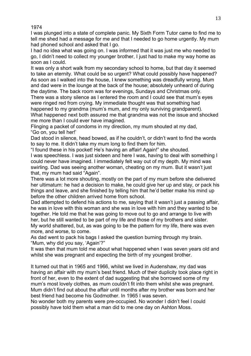I was plunged into a state of complete panic. My Sixth Form Tutor came to find me to tell me shed had a message for me and that I needed to go home urgently. My mum had phoned school and asked that I go.

I had no idea what was going on. I was informed that it was just me who needed to go, I didn't need to collect my younger brother, I just had to make my way home as soon as I could.

It was only a short walk from my secondary school to home, but that day it seemed to take an eternity. What could be so urgent? What could possibly have happened? As soon as I walked into the house, I knew something was dreadfully wrong. Mum and dad were in the lounge at the back of the house; absolutely unheard of during the daytime. The back room was for evenings, Sundays and Christmas only.

There was a stony silence as I entered the room and I could see that mum's eyes were ringed red from crying. My immediate thought was that something had happened to my grandma (mum's mum, and my only surviving grandparent).

What happened next both assured me that grandma was not the issue and shocked me more than I could ever have imagined.

Flinging a packet of condoms in my direction, my mum shouted at my dad, "Go on, you tell her!'

Dad stood in silence, head bowed, as if he couldn't, or didn't want to find the words to say to me. It didn't take my mum long to find them for him.

"I found these in his pocket! He's having an affair! Again!" she shouted.

I was speechless. I was just sixteen and here I was, having to deal with something I could never have imagined. I immediately felt way out of my depth. My mind was swirling. Dad was seeing another woman, cheating on my mum. But it wasn't just that, my mum had said "Again".

There was a lot more shouting, mostly on the part of my mum before she delivered her ultimatum: he had a decision to make, he could give her up and stay, or pack his things and leave, and she finished by telling him that he'd better make his mind up before the other children arrived home from school.

Dad attempted to defend his actions to me, saying that it wasn't just a passing affair, he was in love with this woman and she was in love with him and they wanted to be together. He told me that he was going to move out to go and arrange to live with her, but he still wanted to be part of my life and those of my brothers and sister. My world shattered, but, as was going to be the pattern for my life, there was even more, and worse, to come.

As dad went to pack his bags I asked the question burning through my brain. "Mum, why did you say, 'Again'?"

It was then that mum told me about what happened when I was seven years old and whilst she was pregnant and expecting the birth of my youngest brother.

It turned out that in 1965 and 1966, whilst we lived in Audenshaw, my dad was having an affair with my mum's best friend. Much of their duplicity took place right in front of her, even to the extent of dad suggesting that she borrowed some of my mum's most lovely clothes, as mum couldn't fit into them whilst she was pregnant. Mum didn't find out about the affair until months after my brother was born and her best friend had become his Godmother. In 1965 I was seven.

No wonder both my parents were pre-occupied. No wonder I didn't feel I could possibly have told them what a man did to me one day on Ashton Moss.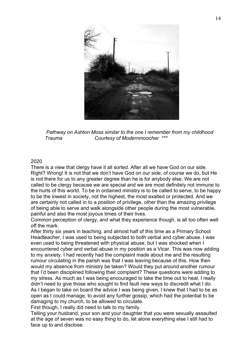

 *Pathway on Ashton Moss similar to the one I remember from my childhood Trauma Courtesy of Modernmoocher \*\*\**

There is a view that clergy have it all sorted. After all we have God on our side. Right? Wrong! It is not that we don't have God on our side, of course we do, but He is not there for us to any greater degree than he is for anybody else. We are not called to be clergy because we are special and we are most definitely not immune to the hurts of this world. To be in ordained ministry is to be called to serve, to be happy to be the lowest in society, not the highest, the most exalted or protected. And we are certainly not called in to a position of privilege, other than the amazing privilege of being able to serve and walk alongside other people during the most vulnerable, painful and also the most joyous times of their lives.

Common perception of clergy, and what they experience though, is all too often well off the mark.

After thirty six years in teaching, and almost half of this time as a Primary School Headteacher, I was used to being subjected to both verbal and cyber abuse. I was even used to being threatened with physical abuse, but I was shocked when I encountered cyber and verbal abuse in my position as a Vicar. This was now adding to my anxiety. I had recently had the complaint made about me and the resulting rumour circulating in the parish was that I was leaving because of this. How then would my absence from ministry be taken? Would they put around another rumour that I'd been disciplined following their complaint? These questions were adding to my stress. As much as I was being encouraged to take the time out to heal, I really didn't need to give those who sought to find fault new ways to discredit what I do. As I began to take on board the advice I was being given, I knew that I had to be as open as I could manage, to avoid any further gossip, which had the potential to be damaging to my church, to be allowed to circulate.

First though, I really did need to talk to my family.

Telling your husband, your son and your daughter that you were sexually assaulted at the age of seven was no easy thing to do, let alone everything else I still had to face up to and disclose.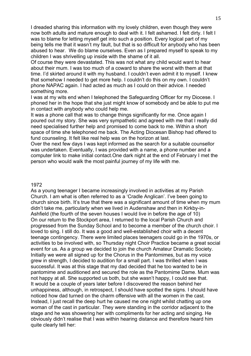I dreaded sharing this information with my lovely children, even though they were now both adults and mature enough to deal with it. I felt ashamed. I felt dirty. I felt I was to blame for letting myself get into such a position. Every logical part of my being tells me that it wasn't my fault, but that is so difficult for anybody who has been abused to hear. We do blame ourselves. Even as I prepared myself to speak to my children I was shrivelling up inside with the shame of it all.

Of course they were devastated. This was not what any child would want to hear about their mum. I was too much of a coward to share the worst with them at that time. I'd skirted around it with my husband. I couldn't even admit it to myself. I knew that somehow I needed to get more help. I couldn't do this on my own. I couldn't phone NAPAC again. I had acted as much as I could on their advice. I needed something more.

I was at my wits end when I telephoned the Safeguarding Officer for my Diocese. I phoned her in the hope that she just might know of somebody and be able to put me in contact with anybody who could help me.

It was a phone call that was to change things significantly for me. Once again I poured out my story. She was very sympathetic and agreed with me that I really did need specialised further help and promised to come back to me. Within a short space of time she telephoned me back. The Acting Diocesan Bishop had offered to fund counseling. It felt like real help was on the horizon at last.

Over the next few days I was kept informed as the search for a suitable counsellor was undertaken. Eventually, I was provided with a name, a phone number and a computer link to make initial contact.One dark night at the end of February I met the person who would walk the most painful journey of my life with me.

#### 1972

As a young teenager I became increasingly involved in activities at my Parish Church. I am what is often referred to as a 'Cradle Anglican'. I've been going to church since birth. It's true that there was a significant amount of time when my mum didn't take me, particularly when we lived in Audenshaw and then in Kirkby-in-Ashfield (the fourth of the seven houses I would live in before the age of 10) On our return to the Stockport area, I returned to the local Parish Church and progressed from the Sunday School and to become a member of the church choir. I loved to sing. I still do. It was a good and well-established choir with a decent teenage contingency. There were limited places teenagers could go in the 1970s, or activities to be involved with, so Thursday night Choir Practice became a great social event for us. As a group we decided to join the church Amateur Dramatic Society. Initially we were all signed up for the Chorus in the Pantomimes, but as my voice grew in strength, I decided to audition for a small part. I was thrilled when I was successful. It was at this stage that my dad decided that he too wanted to be in pantomime and auditioned and secured the role as the Pantomime Dame. Mum was not happy at all. She supported us both, but she wasn't happy, I could see that. It would be a couple of years later before I discovered the reason behind her unhappiness, although, in retrospect, I should have spotted the signs. I should have noticed how dad turned on the charm offensive with all the women in the cast. Instead, I just recall the deep hurt he caused me one night whilst chatting up one woman of the cast in particular. They were standing in the corridor adjacent to the stage and he was showering her with compliments for her acting and singing. He obviously didn't realise that I was within hearing distance and therefore heard him quite clearly tell her: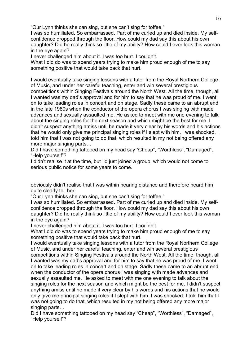"Our Lynn thinks she can sing, but she can't sing for toffee."

I was so humiliated. So embarrassed. Part of me curled up and died inside. My selfconfidence dropped through the floor. How could my dad say this about his own daughter? Did he really think so little of my ability? How could I ever look this woman in the eye again?

I never challenged him about it. I was too hurt. I couldn't.

What I did do was to spend years trying to make him proud enough of me to say something positive that would take back that hurt.

I would eventually take singing lessons with a tutor from the Royal Northern College of Music, and under her careful teaching, enter and win several prestigious competitions within Singing Festivals around the North West. All the time, though, all I wanted was my dad's approval and for him to say that he was proud of me. I went on to take leading roles in concert and on stage. Sadly these came to an abrupt end in the late 1980s when the conductor of the opera chorus I was singing with made advances and sexually assaulted me. He asked to meet with me one evening to talk about the singing roles for the next season and which might be the best for me. I didn't suspect anything amiss until he made it very clear by his words and his actions that he would only give me principal singing roles if I slept with him. I was shocked. I told him that I was not going to do that, which resulted in my not being offered any more major singing parts…

Did I have something tattooed on my head say "Cheap", "Worthless", "Damaged", "Help yourself"?

I didn't realise it at the time, but I'd just joined a group, which would not come to serious public notice for some years to come.

obviously didn't realise that I was within hearing distance and therefore heard him quite clearly tell her:

"Our Lynn thinks she can sing, but she can't sing for toffee."

I was so humiliated. So embarrassed. Part of me curled up and died inside. My selfconfidence dropped through the floor. How could my dad say this about his own daughter? Did he really think so little of my ability? How could I ever look this woman in the eye again?

I never challenged him about it. I was too hurt. I couldn't.

What I did do was to spend years trying to make him proud enough of me to say something positive that would take back that hurt.

I would eventually take singing lessons with a tutor from the Royal Northern College of Music, and under her careful teaching, enter and win several prestigious competitions within Singing Festivals around the North West. All the time, though, all I wanted was my dad's approval and for him to say that he was proud of me. I went on to take leading roles in concert and on stage. Sadly these came to an abrupt end when the conductor of the opera chorus I was singing with made advances and sexually assaulted me. He asked to meet with me one evening to talk about the singing roles for the next season and which might be the best for me. I didn't suspect anything amiss until he made it very clear by his words and his actions that he would only give me principal singing roles if I slept with him. I was shocked. I told him that I was not going to do that, which resulted in my not being offered any more major singing parts…

Did I have something tattooed on my head say "Cheap", "Worthless", "Damaged", "Help yourself"?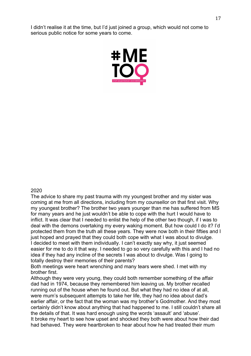I didn't realise it at the time, but I'd just joined a group, which would not come to serious public notice for some years to come.



#### 2020

The advice to share my past trauma with my youngest brother and my sister was coming at me from all directions, including from my counsellor on that first visit. Why my youngest brother? The brother two years younger than me has suffered from MS for many years and he just wouldn't be able to cope with the hurt I would have to inflict. It was clear that I needed to enlist the help of the other two though, if I was to deal with the demons overtaking my every waking moment. But how could I do it? I'd protected them from the truth all these years. They were now both in their fifties and I just hoped and prayed that they could both cope with what I was about to divulge. I decided to meet with them individually. I can't exactly say why, it just seemed easier for me to do it that way. I needed to go so very carefully with this and I had no idea if they had any incline of the secrets I was about to divulge. Was I going to totally destroy their memories of their parents?

Both meetings were heart wrenching and many tears were shed. I met with my brother first.

Although they were very young, they could both remember something of the affair dad had in 1974, because they remembered him leaving us. My brother recalled running out of the house when he found out. But what they had no idea of at all, were mum's subsequent attempts to take her life, they had no idea about dad's earlier affair, or the fact that the woman was my brother's Godmother. And they most certainly didn't know about anything that had happened to me. I still couldn't share all the details of that. It was hard enough using the words 'assault' and 'abuse'. It broke my heart to see how upset and shocked they both were about how their dad had behaved. They were heartbroken to hear about how he had treated their mum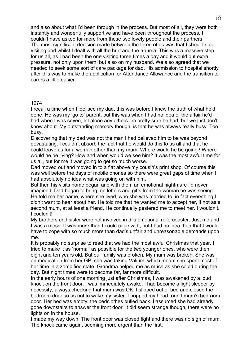and also about what I'd been through in the process. But most of all, they were both instantly and wonderfully supportive and have been throughout the process. I couldn't have asked for more from these two lovely people and their partners. The most significant decision made between the three of us was that I should stop visiting dad whilst I dealt with all the hurt and the trauma. This was a massive step for us all, as I had been the one visiting three times a day and it would put extra pressure, not only upon them, but also on my husband. We also agreed that we needed to seek some sort of care package for dad. His admission to hospital shortly after this was to make the application for Attendance Allowance and the transition to carers a little easier.

## 1974

I recall a time when I idolised my dad, this was before I knew the truth of what he'd done. He was my 'go to' parent, but this was when I had no idea of the affair he'd had when I was seven, let alone any others I'm pretty sure he had, but we just don't know about. My outstanding memory though, is that he was always really busy. Too busy.

Discovering that my dad was not the man I had believed him to be was beyond devastating. I couldn't absorb the fact that he would do this to us all and that he could leave us for a woman other than my mum. Where would he be going? Where would he be living? How and when would we see him? It was the most awful time for us all, but for me it was going to get so much worse.

Dad moved out and moved in to a flat above my cousin's print shop. Of course this was well before the days of mobile phones so there were great gaps of time when I had absolutely no idea what was going on with him.

But then his visits home began and with them an emotional nightmare I'd never imagined. Dad began to bring me letters and gifts from the woman he was seeing. He told me her name, where she lived, who she was married to, in fact everything I didn't want to hear about her. He told me that he wanted me to accept her, if not as a second mum, at at least a friend. He continually pestered me to meet her. I wouldn't. I couldn't!

My brothers and sister were not involved in this emotional rollercoaster. Just me and I was a mess. It was more than I could cope with, but I had no idea then that I would have to cope with so much more than dad's unfair and unreasonable demands upon me.

It is probably no surprise to read that we had the most awful Christmas that year. I tried to make it as 'normal' as possible for the two younger ones, who were then eight and ten years old. But our family was broken. My mum was broken. She was on medication from her GP; she was taking Valium, which meant she spent most of her time in a zombified state. Grandma helped me as much as she could during the day. But night times were to become far, far more difficult.

In the early hours of one morning just after Christmas, I was awakened by a loud knock on the front door. I was immediately awake. I had become a light sleeper by necessity, always checking that mum was OK. I slipped out of bed and closed the bedroom door so as not to wake my sister. I popped my head round mum's bedroom door. Her bed was empty, the bedclothes pulled back. I assumed she had already gone downstairs to answer the front door. It did seem strange though, there were no lights on in the house.

I made my way down. The front door was closed tight and there was no sign of mum. The knock came again, seeming more urgent than the first.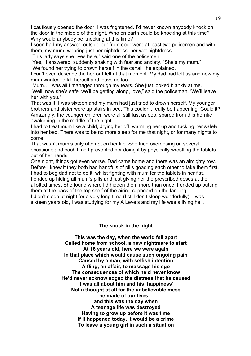I cautiously opened the door. I was frightened. I'd never known anybody knock on the door in the middle of the night. Who on earth could be knocking at this time? Why would anybody be knocking at this time?

I soon had my answer: outside our front door were at least two policemen and with them, my mum, wearing just her nightdress; her wet nightdress.

"This lady says she lives here," said one of the policemen.

"Yes," I answered, suddenly shaking with fear and anxiety. "She's my mum." "We found her trying to drown herself in the canal," he explained.

I can't even describe the horror I felt at that moment. My dad had left us and now my mum wanted to kill herself and leave us too.

"Mum…" was all I managed through my tears. She just looked blankly at me. "Well, now she's safe, we'll be getting along, love," said the policeman. 'We'll leave her with you."

That was it! I was sixteen and my mum had just tried to drown herself. My younger brothers and sister were up stairs in bed. This couldn't really be happening. Could it? Amazingly, the younger children were all still fast asleep, spared from this horrific awakening in the middle of the night.

I had to treat mum like a child, drying her off, warming her up and tucking her safely into her bed. There was to be no more sleep for me that night, or for many nights to come.

That wasn't mum's only attempt on her life. She tried overdosing on several occasions and each time I prevented her doing it by physically wrestling the tablets out of her hands.

One night, things got even worse. Dad came home and there was an almighty row. Before I knew it they both had handfuls of pills goading each other to take them first.

I had to beg dad not to do it, whilst fighting with mum for the tablets in her fist. I ended up hiding all mum's pills and just giving her the prescribed doses at the allotted times. She found where I'd hidden them more than once. I ended up putting them at the back of the top shelf of the airing cupboard on the landing.

I didn't sleep at night for a very long time (I still don't sleep wonderfully). I was sixteen years old, I was studying for my A Levels and my life was a living hell.

# **The knock in the night**

**This was the day, when the world fell apart Called home from school, a new nightmare to start At 16 years old, here we were again In that place which would cause such ongoing pain Caused by a man, with selfish intention A fling, an affair, to massage his ego The consequences of which he'd never know He'd never acknowledged the distress that he caused It was all about him and his 'happiness' Not a thought at all for the unbelievable mess he made of our lives – and this was the day when A teenage life was destroyed Having to grow up before it was time If it happened today, it would be a crime To leave a young girl in such a situation**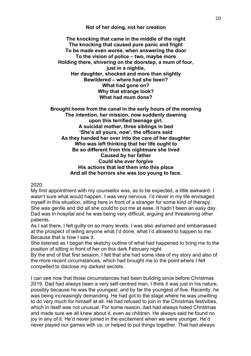## **Not of her doing, not her creation**

**The knocking that came in the middle of the night The knocking that caused pure panic and fright To be made even worse, when answering the door To the vision of police – two, maybe more Holding there, shivering on the doorstep, a mum of four, just in a nightie, Her daughter, shocked and more than slightly Bewildered – where had she been? What had gone on? Why that strange look? What had mum done?**

**Brought home from the canal in the early hours of the morning The intention, her mission, now suddenly dawning upon this terrified teenage girl. A suicidal mother, three siblings in bed 'She's all yours, now', the officers said As they handed her over into the care of her daughter Who was left thinking that her life ought to Be so different from this nightmare she lived Caused by her father Could she ever forgive His actions that led them into this place And all the horrors she was too young to face.**

2020

My first appointment with my counsellor was, as to be expected, a little awkward. I wasn't sure what would happen. I was very nervous. I'd never in my life envisaged myself in this situation, sitting here in front of a stranger for some kind of therapy. She was gentle and did all she could to put me at ease. It hadn't been an easy day. Dad was in hospital and he was being very difficult, arguing and threatening other patients.

As I sat there, I felt guilty on so many levels. I was also ashamed and embarrassed at the prospect of telling anyone what I'd done, what I'd allowed to happen to me. Because that is how I saw it.

She listened as I began the sketchy outline of what had happened to bring me to the position of sitting in front of her on this dark February night.

By the end of that first session, I felt that she had some idea of my story and also of the more recent circumstances, which had brought me to the point where I felt compelled to disclose my darkest secrets.

I can see now that those circumstances had been building since before Christmas 2019. Dad had always been a very self-centred man, I think it was just in his nature, possibly because he was the youngest, and by far the youngest of five. Recently, he was being increasingly demanding. He had got to the stage where he was unwilling to do very much for himself at all. He had refused to join in the Christmas festivities, which in itself was not unusual. For some reason, dad had always hated Christmas and made sure we all knew about it, even as children. He always said he found no joy in any of it. He'd never joined in the excitement when we were younger. He'd never played our games with us, or helped to put things together. That had always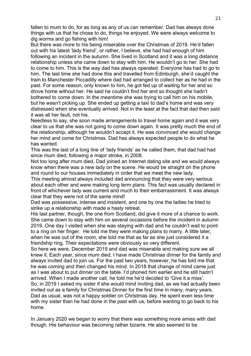fallen to mum to do, for as long as any of us can remember. Dad has always done things with us that he chose to do, things he enjoyed. We were always welcome to dig worms and go fishing with him!

But there was more to his being miserable over the Christmas of 2019. He'd fallen out with his latest 'lady friend', or rather, I believe, she had had enough of him following an incident in the autumn. She lived in Scotland and it was a long distance relationship unless she came down to stay with him. He wouldn't go to her. She had to come to him. This is the way dad has always operated. Everyone has had to go to him. The last time she had done this and travelled from Edinburgh, she'd caught the train to Manchester Piccadilly where dad had arranged to collect her as he had in the past. For some reason, only known to him, he got fed up of waiting for her and so drove home without her. He said he couldn't find her and so thought she hadn't bothered to come down. In the meantime she was trying to call him on his mobile, but he wasn't picking up. She ended up getting a taxi to dad's home and was very distressed when she eventually arrived. Not in the least at the fact that dad then said it was all her fault, not his.

Needless to say, she soon made arrangements to travel home again and it was very clear to us that she was not going to come down again. It was pretty much the end of the relationship, although he wouldn't accept it. He was convinced she would change her mind and come for Christmas. Dad has always expected people to do what he has wanted.

This was the last of a long line of 'lady friends' as he called them, that dad had had since mum died, following a major stroke, in 2008.

Not too long after mum died, Dad joined an Internet dating site and we would always know when there was a new lady on the scene. He would be straight on the phone and round to our houses immediately in order that we meet the new lady.

This meeting almost always included dad announcing that they were very serious about each other and were making long term plans. This fact was usually declared in front of whichever lady was current and much to their embarrassment. It was always clear that they were not of the same mind!

Dad was possessive, intense and insistent, and one by one the ladies he tried to strike up a relationship with made a hasty retreat.

His last partner, though, the one from Scotland, did give it more of a chance to work. She came down to stay with him on several occasions before the incident in autumn 2019. One day I visited when she was staying with dad and he couldn't wait to point to a ring on her finger. He told me they were making plans to marry. A little later, when he was out of the room, she told me that as far as she just considered it a friendship ring. Their expectations were obviously so very different.

So here we were, December 2019 and dad was miserable and making sure we all knew it. Each year, since mum died, I have made Christmas dinner for the family and always invited dad to join us. For the past two years, however, he has told me that he was coming and then changed his mind. In 2018 that change of mind came just as I was about to put dinner on the table. I'd phoned him earlier and he still hadn't arrived. When I made another call, he told me he'd decided to 'Give it a miss'. So, in 2019 I asked my sister if she would mind inviting dad, as we had actually been invited out as a family for Christmas Dinner for the first time in many, many years. Dad as usual, was not a happy soldier on Christmas day. He spent even less time with my sister than he had done in the past with us, before wanting to go back to his home.

In January 2020 we began to worry that there was something more amiss with dad though. His behaviour was becoming rather bizarre. He also seemed to be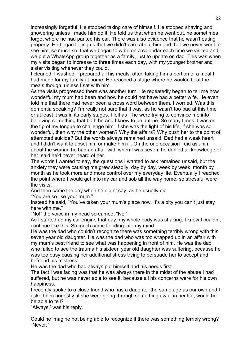increasingly forgetful. He stopped taking care of himself. He stopped shaving and showering unless I made him do it. He told us that when he went out, he sometimes forgot where he had parked his car. There was also evidence that he wasn't eating properly. He began telling us that we didn't care about him and that we never went to see him, so much so, that we began to write on a calendar each time we visited and we put a WhatsApp group together as a family, just to update on dad. This was when my visits began to increase to three times each day, with my younger brother and sister visiting whenever they could.

I cleaned, I washed, I prepared all his meals, often taking him a portion of a meal I had made for my family at home. He reached a stage where he wouldn't eat the meals though, unless I sat with him.

As the visits progressed there was another turn. He repeatedly began to tell me how wonderful my mum had been and how he could not have had a better wife. He even told me that there had never been a cross word between them. I worried. Was this dementia speaking? I'm really not sure that it was, as he wasn't too bad at this time or at least it was in its early stages. I felt as if he were trying to convince me into believing something that both he and I knew to be untrue. So many times it was on the tip of my tongue to challenge him. If she was the light of his life, if she was so wonderful, then why the other women? Why the affairs? Why push her to the point of attempted suicide? But the words always remained unsaid. Dad had a weak heart and I didn't want to upset him or make him ill. On the one occasion I did ask him about the woman he had an affair with when I was seven, he denied all knowledge of her, said he'd never heard of her.

The words I wanted to say, the questions I wanted to ask remained unsaid, but the anxiety they were causing me grew steadily, day by day, week by week, month by month as he took more and more control over my everyday life. Eventually I reached the point where I would get into my car and sob all the way home, so stressful were the visits.

And then came the day when he didn't say, as he usually did "You are so like your mum."

Instead he said, "You've taken your mum's place now. It's a pity you can't just stay here with me."

"No!" the voice in my head screamed, "No!"

As I started up my car engine that day, my whole body was shaking. I knew I couldn't continue like this. So much came flooding into my mind.

He was the dad who couldn't recognize there was something terribly wrong with this seven year old daughter. He was the dad who was too wrapped up in an affair with my mum's best friend to see what was happening in front of him. He was the dad who failed to see the trauma his sixteen year old daughter was suffering, because he was too busy causing her additional stress trying to persuade her to accept and befriend his mistress.

He was the dad who had always put himself and his needs first.

The fact I was facing was that he was always there in the midst of the abuse I had suffered, but he was never able to see it, because all his concerns were for his own happiness.

I recently spoke to a close friend who has a daughter the same age as our own and I asked him honestly, if she were going through something awful in her life, would he be able to tell?

"Always,' was his reply.

Could he imagine not being able to recognize if there was something terribly wrong? "Never."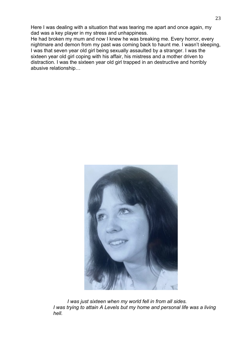Here I was dealing with a situation that was tearing me apart and once again, my dad was a key player in my stress and unhappiness.

He had broken my mum and now I knew he was breaking me. Every horror, every nightmare and demon from my past was coming back to haunt me. I wasn't sleeping, I was that seven year old girl being sexually assaulted by a stranger. I was the sixteen year old girl coping with his affair, his mistress and a mother driven to distraction. I was the sixteen year old girl trapped in an destructive and horribly abusive relationship…



 *I was just sixteen when my world fell in from all sides. I was trying to attain A Levels but my home and personal life was a living hell.*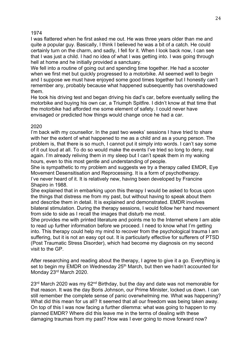I was flattered when he first asked me out. He was three years older than me and quite a popular guy. Basically, I think I believed he was a bit of a catch. He could certainly turn on the charm, and sadly, I fell for it. When I look back now, I can see that I was just a child. I had no idea of what I was getting into. I was going through hell at home and he initially provided a sanctuary.

We fell into a routine of going out and spending time together. He had a scooter when we first met but quickly progressed to a motorbike. All seemed well to begin and I suppose we must have enjoyed some good times together but I honestly can't remember any, probably because what happened subsequently has overshadowed them.

He took his driving test and began driving his dad's car, before eventually selling the motorbike and buying his own car, a Triumph Spitfire. I didn't know at that time that the motorbike had afforded me some element of safety. I could never have envisaged or predicted how things would change once he had a car.

# 2020

I'm back with my counsellor. In the past two weeks' sessions I have tried to share with her the extent of what happened to me as a child and as a young person. The problem is, that there is so much, I cannot put it simply into words. I can't say some of it out loud at all. To do so would make the events I've tried so long to deny, real again. I'm already reliving them in my sleep but I can't speak them in my waking hours, even to this most gentle and understanding of people.

She is sympathetic to my problem and suggests we try a therapy called EMDR, Eye Movement Desensitisation and Reprocessing. It is a form of psychotherapy. I've never heard of it. It is relatively new, having been developed by Francine Shapiro in 1988.

She explained that in embarking upon this therapy I would be asked to focus upon the things that distress me from my past, but without having to speak about them and describe them in detail. It is explained and demonstrated. EMDR involves bilateral stimulation. During the therapy sessions, I would follow her hand movement from side to side as I recall the images that disturb me most.

She provides me with printed literature and points me to the Internet where I am able to read up further information before we proceed. I need to know what I'm getting into. This therapy could help my mind to recover from the psychological trauma I am suffering, but it is not an easy opt out. It is particularly effective for sufferers of PTSD (Post Traumatic Stress Disorder), which had become my diagnosis on my second visit to the GP.

After researching and reading about the therapy, I agree to give it a go. Everything is set to begin my EMDR on Wednesday  $25<sup>th</sup>$  March, but then we hadn't accounted for Monday 23<sup>rd</sup> March 2020.

 $23<sup>rd</sup>$  March 2020 was my 62<sup>nd</sup> Birthday, but the day and date was not memorable for that reason. It was the day Boris Johnson, our Prime Minister, locked us down. I can still remember the complete sense of panic overwhelming me. What was happening? What did this mean for us all? It seemed that all our freedom was being taken away. On top of this I was now facing a further dilemma: what was going to happen to my planned EMDR? Where did this leave me in the terms of dealing with these damaging traumas from my past? How was I ever going to move forward now?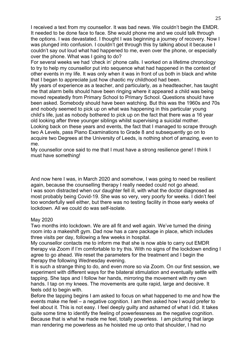I received a text from my counsellor. It was bad news. We couldn't begin the EMDR. It needed to be done face to face. She would phone me and we could talk through the options. I was devastated. I thought I was beginning a journey of recovery. Now I was plunged into confusion. I couldn't get through this by talking about it because I couldn't say out loud what had happened to me, even over the phone, or especially over the phone. What was I going to do?

For several weeks we had 'check in' phone calls. I worked on a lifetime chronology to try to help my counsellor put into sequence what had happened in the context of other events in my life. It was only when it was in front of us both in black and white that I began to appreciate just how chaotic my childhood had been.

My years of experience as a teacher, and particularly, as a headteacher, has taught me that alarm bells should have been ringing where it appeared a child was being moved repeatedly from Primary School to Primary School. Questions should have been asked. Somebody should have been watching. But this was the 1960s and 70s and nobody seemed to pick up on what was happening in this particular young child's life, just as nobody bothered to pick up on the fact that there was a 16 year old looking after three younger siblings whilst supervising a suicidal mother. Looking back on these years and events, the fact that I managed to scrape through two A Levels, pass Piano Examinations to Grade 8 and subsequently go on to acquire two Degrees at the University of Leeds, is nothing short of amazing, even to me.

My counsellor once said to me that I must have a strong resilience gene! I think I must have something!

And now here I was, in March 2020 and somehow, I was going to need be resilient again, because the counselling therapy I really needed could not go ahead. I was soon distracted when our daughter fell ill, with what the doctor diagnosed as most probably being Covid-19. She was so very, very poorly for weeks. I didn't feel too wonderfully well either, but there was no testing facility in those early weeks of lockdown. All we could do was self-isolate.

## May 2020

Two months into lockdown. We are all fit and well again. We've turned the dining room into a makeshift gym. Dad now has a care package in place, which includes three visits per day, following a few weeks in hospital.

My counsellor contacts me to inform me that she is now able to carry out EMDR therapy via Zoom if I'm comfortable to try this. With no signs of the lockdown ending I agree to go ahead. We reset the parameters for the treatment and I begin the therapy the following Wednesday evening.

It is such a strange thing to do, and even more so via Zoom. On our first session, we experiment with different ways for the bilateral stimulation and eventually settle with tapping. She taps and I follow her hands, mirroring the movement with my own hands. I tap on my knees. The movements are quite rapid, large and decisive. It feels odd to begin with.

Before the tapping begins I am asked to focus on what happened to me and how the events make me feel – a negative cognition. I am then asked how I would prefer to feel about it. This is not easy. I feel deeply guilty and ashamed of what I did. It takes quite some time to identify the feeling of powerlessness as the negative cognition. Because that is what he made me feel, totally powerless. I am picturing that large man rendering me powerless as he hoisted me up onto that shoulder, I had no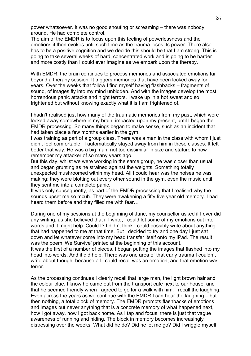power whatsoever. It was no good shouting or screaming – there was nobody around. He had complete control.

The aim of the EMDR is to focus upon this feeling of powerlessness and the emotions it then evokes until such time as the trauma loses its power. There also has to be a positive cognition and we decide this should be that I am strong. This is going to take several weeks of hard, concentrated work and is going to be harder and more costly than I could ever imagine as we embark upon the therapy.

With EMDR, the brain continues to process memories and associated emotions far beyond a therapy session. It triggers memories that have been locked away for years. Over the weeks that follow I find myself having flashbacks – fragments of sound, of images fly into my mind unbidden. And with the images develop the most horrendous panic attacks and night terrors. I wake up in a hot sweat and so frightened but without knowing exactly what it is I am frightened of.

I hadn't realised just how many of the traumatic memories from my past, which were locked away somewhere in my brain, impacted upon my present, until I began the EMDR processing. So many things began to make sense, such as an incident that had taken place a few months earlier in the gym.

I was training as part of a group class. There was a man in the class with whom I just didn't feel comfortable. I automatically stayed away from him in these classes. It felt better that way. He was a big man, not too dissimilar in size and stature to how I remember my attacker of so many years ago.

But this day, whilst we were working in the same group, he was closer than usual and began grunting as he strained against the weights. Something totally unexpected mushroomed within my head. All I could hear was the noises he was making; they were blotting out every other sound in the gym, even the music until they sent me into a complete panic.

It was only subsequently, as part of the EMDR processing that I realised why the sounds upset me so mcuh. They were awakening a fifty five year old memory. I had heard them before and they filled me with fear…

During one of my sessions at the beginning of June, my counsellor asked if I ever did any writing, as she believed that if I write, I could let some of my emotions out into words and it might help. Could I? I didn't think I could possibly write about anything that had happened to me at that time. But I decided to try and one day I just sat down and let whatever come into my head transfer itself onto my iPad. The result was the poem 'We Survive' printed at the beginning of this account. It was the first of a number of pieces. I began putting the images that flashed into my

head into words. And it did help. There was one area of that early trauma I couldn't write about though, because all I could recall was an emotion, and that emotion was terror.

As the processing continues I clearly recall that large man, the light brown hair and the colour blue. I know he came out from the transport cafe next to our house, and that he seemed friendly when I agreed to go for a walk with him. I recall the laughing. Even across the years as we continue with the EMDR I can hear the laughing – but then nothing, a total block of memory. The EMDR prompts flashbacks of emotions and images but never anything that is a concrete memory of what happened next, how I got away, how I got back home. As I tap and focus, there is just that vague awareness of running and hiding. The block in memory becomes increasingly distressing over the weeks. What did he do? Did he let me go? Did I wriggle myself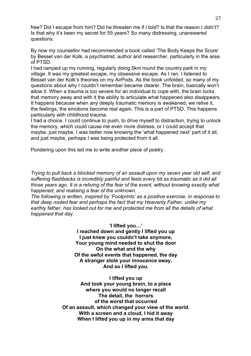free? Did I escape from him? Did he threaten me if I told? Is that the reason I didn't? Is that why it's been my secret for 55 years? So many distressing, unanswered questions.

By now my counsellor had recommended a book called 'The Body Keeps the Score' by Bessel van der Kolk, a psychiatrist, author and researcher, particularly in the area of PTSD.

I had ramped up my running, regularly doing 5km round the country park in my village. It was my greatest escape, my obsessive escape. As I ran, I listened to Bessel van der Kolk's theories on my AirPods. As the book unfolded, so many of my questions about why I couldn't remember became clearer. The brain, basically won't allow it. When a trauma is too severe for an individual to cope with, the brain locks that memory away and with it the ability to articulate what happened also disappears. It happens because when any deeply traumatic memory is awakened, we relive it, the feelings, the emotions become real again. This is a part of PTSD. This happens particularly with childhood trauma.

I had a choice. I could continue to push, to drive myself to distraction, trying to unlock the memory, which could cause me even more distress, or I could accept that maybe, just maybe, I was better now knowing the 'what happened next' part of it all, and just maybe, perhaps I was being protected from it all.

Pondering upon this led me to write another piece of poetry.

*Trying to pull back a blocked memory of an assault upon my seven year old self, and suffering flashbacks is incredibly painful and feels every bit as traumatic as it did all those years ago. It is a reliving of the fear of the event, without knowing exactly what happened, and realising a fear of the unknown.* 

*The following is written, inspired by 'Footprints' as a positive exercise, in response to that deep rooted fear and perhaps the fact that my Heavenly Father, unlike my earthly father, has looked out for me and protected me from all the details of what happened that day.*

*'***I lifted you…'**

**I reached down and gently I lifted you up I just knew you couldn't take anymore, Your young mind needed to shut the door On the what and the why Of the awful events that happened, the day A stranger stole your innocence away. And so I lifted you.**

**I lifted you up And took your young brain, to a place where you would no longer recall The detail, the horrors of the worst that occurred Of an assault, which changed your view of the world. With a screen and a cloud, I hid it away When I lifted you up in my arms that day**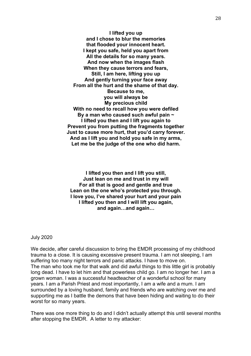**I lifted you up and I chose to blur the memories that flooded your innocent heart. I kept you safe, held you apart from All the details for so many years. And now when the images flash When they cause terrors and fears, Still, I am here, lifting you up And gently turning your face away From all the hurt and the shame of that day. Because to me, you will always be My precious child With no need to recall how you were defiled By a man who caused such awful pain ~ I lifted you then and I lift you again to Prevent you from putting the fragments together Just to cause more hurt, that you'd carry forever. And as I lift you and hold you safe in my arms, Let me be the judge of the one who did harm.**

**I lifted you then and I lift you still, Just lean on me and trust in my will For all that is good and gentle and true Lean on the one who's protected you through. I love you, I've shared your hurt and your pain I lifted you then and I will lift you again, and again…and again…**

July 2020

We decide, after careful discussion to bring the EMDR processing of my childhood trauma to a close. It is causing excessive present trauma. I am not sleeping, I am suffering too many night terrors and panic attacks. I have to move on. The man who took me for that walk and did awful things to this little girl is probably long dead. I have to let him and that powerless child go. I am no longer her. I am a grown woman. I was a successful headteacher of a wonderful school for many years. I am a Parish Priest and most importantly, I am a wife and a mum. I am surrounded by a loving husband, family and friends who are watching over me and supporting me as I battle the demons that have been hiding and waiting to do their worst for so many years.

There was one more thing to do and I didn't actually attempt this until several months after stopping the EMDR. A letter to my attacker: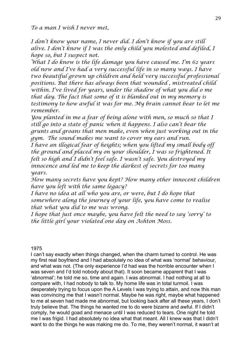*I don't know your name, I never did. I don't know if you are still alive. I don't know if I was the only child you molested and defiled, I hope so, but I suspect not.*

*What I do know is the life damage you have caused me. I'm 62 years old now and I've had a very successful life in so many ways. I have two beautiful grown up children and held very successful professional positions. But there has always been that wounded , mistreated child within. I've lived for years, under the shadow of what you did o me that day. The fact that some of it is blanked out in my memory is testimony to how awful it was for me. My brain cannot bear to let me remember.* 

*You planted in me a fear of being alone with men, so much so that I still go into a state of panic when it happens. I also can't bear the grunts and groans that men make, even when just working out in the gym. The sound makes me want to cover my ears and run.*

*I have an illogical fear of heights; when you lifted my small body off the ground and placed my on your shoulder, I was so frightened. It felt so high and I didn't feel safe. I wasn't safe. You destroyed my innocence and led me to keep the darkest of secrets for too many years.*

*How many secrets have you kept? How many other innocent children have you left with the same legacy?*

*I have no idea at all who you are, or were, but I do hope that somewhere along the journey of your life, you have come to realise that what you did to me was wrong.* 

*I hope that just once maybe, you have felt the need to say 'sorry' to the little girl your violated one day on Ashton Moss.*

# 1975

I can't say exactly when things changed, when the charm turned to control. He was my first real boyfriend and I had absolutely no idea of what was 'normal' behaviour, and what was not. (The only experience I'd had was the horrible encounter when I was seven and I'd told nobody about that). It soon became apparent that I was 'abnormal'; he told me so, time and again. I was abnormal. I had nothing at all to compare with, I had nobody to talk to. My home life was in total turmoil. I was desperately trying to focus upon the A Levels I was trying to attain, and now this man was convincing me that I wasn't normal. Maybe he was right, maybe what happened to me at seven had made me abnormal, but looking back after all these years, I don't truly believe that. The things he wanted me to do were bizarre and awful. If I didn't comply, he would goad and menace until I was reduced to tears. One night he told me I was frigid. I had absolutely no idea what that meant. All I knew was that I didn't want to do the things he was making me do. To me, they weren't normal, it wasn't at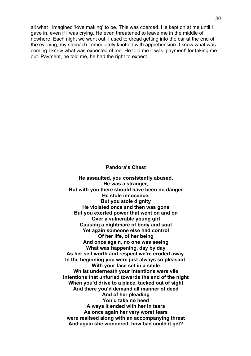all what I imagined 'love making' to be. This was coerced. He kept on at me until I gave in, even if I was crying. He even threatened to leave me in the middle of nowhere. Each night we went out, I used to dread getting into the car at the end of the evening, my stomach immediately knotted with apprehension. I knew what was coming I knew what was expected of me. He told me it was 'payment' for taking me out. Payment, he told me, he had the right to expect.

#### **Pandora's Chest**

**He assaulted, you consistently abused, He was a stranger, But with you there should have been no danger He stole innocence, But you stole dignity He violated once and then was gone But you exerted power that went on and on Over a vulnerable young girl Causing a nightmare of body and soul Yet again someone else had control Of her life, of her being And once again, no one was seeing What was happening, day by day As her self worth and respect we're eroded away. In the beginning you were just always so pleasant, With your face set in a smile Whilst underneath your intentions were vile Intentions that unfurled towards the end of the night When you'd drive to a place, tucked out of sight And there you'd demand all manner of deed And of her pleading You'd take no heed Always it ended with her in tears As once again her very worst fears were realised along with an accompanying threat And again she wondered, how bad could it get?**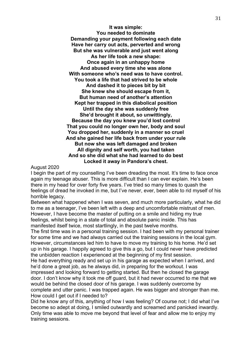**It was simple: You needed to dominate Demanding your payment following each date Have her carry out acts, perverted and wrong But she was vulnerable and just went along As her life took a new shape: Once again in an unhappy home And abused every time she was alone With someone who's need was to have control. You took a life that had strived to be whole And dashed it to pieces bit by bit She knew she should escape from it, But human need of another's attention Kept her trapped in this diabolical position Until the day she was suddenly free She'd brought it about, so unwittingly, Because the day you knew you'd lost control That you could no longer own her, body and soul You dropped her, suddenly in a manner so cruel And she gained her life back from under your rule But now she was left damaged and broken All dignity and self worth, you had taken And so she did what she had learned to do best Locked it away in Pandora's chest.**

August 2020

I begin the part of my counselling I've been dreading the most. It's time to face once again my teenage abuser. This is more difficult than I can ever explain. He's been there in my head for over forty five years. I've tried so many times to quash the feelings of dread he invoked in me, but I've never, ever, been able to rid myself of his horrible legacy.

Between what happened when I was seven, and much more particularly, what he did to me as a teenager, I've been left with a deep and uncomfortable mistrust of men. However, I have become the master of putting on a smile and hiding my true feelings, whilst being in a state of total and absolute panic inside. This has manifested itself twice, most startlingly, in the past twelve months.

The first time was in a personal training session. I had been with my personal trainer for some time and we had always carried out the training sessions in the local gym. However, circumstances led him to have to move my training to his home. He'd set up in his garage. I happily agreed to give this a go, but I could never have predicted the unbidden reaction I experienced at the beginning of my first session.

He had everything ready and set up in his garage as expected when I arrived, and he'd done a great job, as he always did, in preparing for the workout. I was impressed and looking forward to getting started. But then he closed the garage door. I don't know why it took me off guard, but it had never occurred to me that we would be behind the closed door of his garage. I was suddenly overcome by complete and utter panic. I was trapped again. He was bigger and stronger than me. How could I get out if I needed to?

Did he know any of this, anything of how I was feeling? Of course not; I did what I've become so adept at doing, I smiled outwardly and screamed and panicked inwardly. Only time was able to move me beyond that level of fear and allow me to enjoy my training sessions.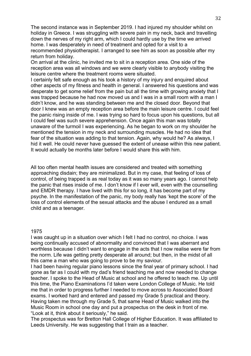The second instance was in September 2019. I had injured my shoulder whilst on holiday in Greece. I was struggling with severe pain in my neck, back and travelling down the nerves of my right arm, which I could hardly use by the time we arrived home. I was desperately in need of treatment and opted for a visit to a recommended physiotherapist. I arranged to see him as soon as possible after my return from holiday.

On arrival at the clinic, he invited me to sit in a reception area. One side of the reception area was all windows and we were clearly visible to anybody visiting the leisure centre where the treatment rooms were situated.

I certainly felt safe enough as his took a history of my injury and enquired about other aspects of my fitness and health in general. I answered his questions and was desperate to get some relief from the pain but all the time with growing anxiety that I was trapped because he had now moved us and I was in a small room with a man I didn't know, and he was standing between me and the closed door. Beyond that door I knew was an empty reception area before the main leisure centre. I could feel the panic rising inside of me. I was trying so hard to focus upon his questions, but all I could feel was such severe apprehension. Once again this man was totally unaware of the turmoil I was experiencing. As he began to work on my shoulder he mentioned the tension in my neck and surrounding muscles. He had no idea that fear of the situation was adding to that tension. Again, why would he? As always, I hid it well. He could never have guessed the extent of unease within this new patient. It would actually be months later before I would share this with him.

All too often mental health issues are considered and treated with something approaching disdain; they are minimalized. But in my case, that feeling of loss of control, of being trapped is as real today as it was so many years ago. I cannot help the panic that rises inside of me. I don't know if I ever will, even with the counselling and EMDR therapy. I have lived with this for so long, it has become part of my psyche. In the manifestation of the panic, my body really has 'kept the score' of the loss of control elements of the sexual attacks and the abuse I endured as a small child and as a teenager.

#### 1975

I was caught up in a situation over which I felt I had no control, no choice. I was being continually accused of abnormality and convinced that I was aberrant and worthless because I didn't want to engage in the acts that I now realise were far from the norm. Life was getting pretty desperate all around; but then, in the midst of all this came a man who was going to prove to be my saviour.

I had been having regular piano lessons since the final year of primary school. I had gone as far as I could with my dad's friend teaching me and now needed to change teacher. I spoke to the Head of Music at school and he offered to teach me. Up until this time, the Piano Examinations I'd taken were London College of Music. He told me that in order to progress further I needed to move across to Associated Board exams. I worked hard and entered and passed my Grade 5 practical and theory. Having taken me through my Grade 5, that same Head of Music walked into the Music Room in school one day and put a prospectus on the desk in front of me. "Look at it, think about it seriously," he said.

The prospectus was for Bretton Hall College of Higher Education. It was affiliated to Leeds University. He was suggesting that I train as a teacher.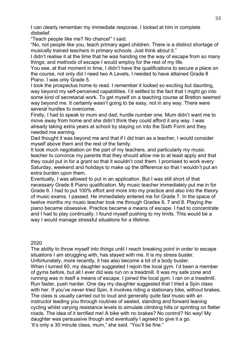I can clearly remember my immediate response. I looked at him in complete disbelief.

"Teach people like me? No chance!" I said.

"No, not people like you, teach primary aged children. There is a distinct shortage of musically trained teachers in primary schools. Just think about it."

I didn't realise it at the time that he was handing me the way of escape from so many things; and methods of escape I would employ for the rest of my life.

You see, at that moment in time, I didn't have the qualifications to secure a place on the course, not only did I need two A Levels, I needed to have attained Grade 8 Piano. I was only Grade 5.

I took the prospectus home to read. I remember it looked so exciting but daunting, way beyond my self-perceived capabilities. I'd settled to the fact that I might go into some kind of secretarial work. To get myself on a teaching course at Bretton seemed way beyond me. It certainly wasn't going to be easy, not in any way. There were several hurdles to overcome.

Firstly, I had to speak to mum and dad; hurdle number one. Mum didn't want me to move away from home and she didn't think they could afford it any way. I was already taking extra years at school by staying on into the Sixth Form and they needed me earning.

Dad thought it was beyond me and that if I did train as a teacher, I would consider myself above them and the rest of the family.

It took much negotiation on the part of my teachers, and particularly my music teacher to convince my parents that they should allow me to at least apply and that they could put in for a grant so that it wouldn't cost them. I promised to work every Saturday, weekend and holidays to make up the difference so that I wouldn't put an extra burden upon them.

Eventually, I was allowed to put in an application. But I was still short of that necessary Grade 8 Piano qualification. My music teacher immediately put me in for Grade 6. I had to put 100% effort and more into my practice and also into the theory of music exams. I passed. He immediately entered me for Grade 7. In the space of twelve months my music teacher took me through Grades 6, 7 and 8. Playing the piano became obsessive. Practice became a means of escape. I had to concentrate and I had to play continually. I found myself pushing to my limits. This would be a way I would manage stressful situations for a lifetime.

2020

The ability to throw myself into things until I reach breaking point in order to escape situations I am struggling with, has stayed with me. It is my stress buster. Unfortunately, more recently, it has also become a bit of a body buster. When I turned 60, my daughter suggested I rejoin the local gym. I'd been a member of gyms before, but all I ever did was run on a treadmill. It was my safe zone and running was in itself a means of escape. I joined the local gym. I ran on a treadmill. Run faster, push harder. One day my daughter suggested that I tried a Spin class with her. If you've never tried Spin, it involves riding a stationary bike, without brakes. The class is usually carried out to loud and generally quite fast music with an instructor leading you through routines of seated, standing and forward leaning cycling whilst varying resistance levels to simulate climbing hills or sprinting on flatter roads. The idea of it terrified me! A bike with no brakes? No control? No way! My daughter was persuasive though and eventually I agreed to give it a go. 'It's only a 30 minute class, mum," she said. "You'll be fine."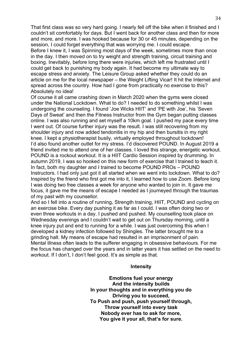That first class was so very hard going. I nearly fell off the bike when it finished and I couldn't sit comfortably for days. But I went back for another class and then for more and more, and more. I was hooked because for 30 or 45 minutes, depending on the session, I could forget everything that was worrying me. I could escape.

Before I knew it, I was Spinning most days of the week, sometimes more than once in the day. I then moved on to try weight and strength training, circuit training and boxing. Inevitably, before long there were injuries, which left me frustrated until I could get back to punishing my body again. It had become my ultimate way to escape stress and anxiety. The Leisure Group asked whether they could do an article on me for the local newspaper – the Weight Lifting Vicar! It hit the Internet and spread across the country. How had I gone from practically no exercise to this? Absolutely no idea!

Of course it all came crashing down in March 2020 when the gyms were closed under the National Lockdown. What to do? I needed to do something whilst I was undergoing the counseling. I found 'Joe Wicks HIIT' and 'PE with Joe', his 'Seven Days of Sweat' and then the Fitness Instructor from the Gym began putting classes online. I was also running and set myself a 10km goal. I pushed my pace every time I went out. Of course further injury was the result. I was still recovering from my shoulder injury and now added tendonitis in my hip and then bursitis in my right knee. I kept a physiotherapist busily, virtually employed throughout lockdown! I'd also found another outlet for my stress. I'd discovered POUND. In August 2019 a friend invited me to attend one of her classes. I loved this strange, energetic workout. POUND is a rockout workout. It is a HIIT Cardio Session inspired by drumming. In autumn 2019, I was so hooked on this new form of exercise that I trained to teach it. In fact, both my daughter and I trained to become POUND PROs – POUND Instructors. I had only just got it all started when we went into lockdown. What to do? Inspired by the friend who first got me into it, I learned how to use Zoom. Before long I was doing two free classes a week for anyone who wanted to join in. It gave me focus, it gave me the means of escape I needed as I journeyed through the traumas of my past with my counsellor.

And so I fell into a routine of running, Strength training, HIIT, POUND and cycling on an exercise bike. Every day pushing it as far as I could. I was often doing two or even three workouts in a day. I pushed and pushed. My counselling took place on Wednesday evenings and I couldn't wait to get out on Thursday morning, until a knee injury put and end to running for a while. I was just overcoming this when I developed a kidney infection followed by Shingles. The latter brought me to a grinding halt. My means of escape had resulted in an imprisonment of pain. Mental illness often leads to the sufferer engaging in obsessive behaviours. For me the focus has changed over the years and in latter years it has settled on the need to workout. If I don't, I don't feel good. It's as simple as that.

# **Intensity**

**Emotions fuel your energy And the intensity builds In your thoughts and in everything you do Driving you to succeed, To Push and push, push yourself through, Throw yourself into every task Nobody ever has to ask for more, You give it your all, that's for sure.**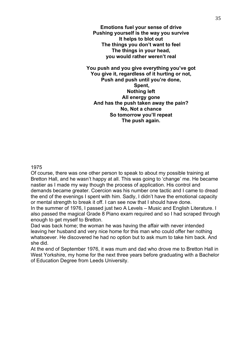**Emotions fuel your sense of drive Pushing yourself is the way you survive It helps to blot out The things you don't want to feel The things in your head, you would rather weren't real**

**You push and you give everything you've got You give it, regardless of it hurting or not, Push and push until you're done, Spent, Nothing left All energy gone And has the push taken away the pain? No, Not a chance So tomorrow you'll repeat The push again.** 

1975

Of course, there was one other person to speak to about my possible training at Bretton Hall, and he wasn't happy at all. This was going to 'change' me. He became nastier as I made my way though the process of application. His control and demands became greater. Coercion was his number one tactic and I came to dread the end of the evenings I spent with him. Sadly, I didn't have the emotional capacity or mental strength to break it off. I can see now that I should have done.

In the summer of 1976, I passed just two A Levels – Music and English Literature. I also passed the magical Grade 8 Piano exam required and so I had scraped through enough to get myself to Bretton.

Dad was back home; the woman he was having the affair with never intended leaving her husband and very nice home for this man who could offer her nothing whatsoever. He discovered he had no option but to ask mum to take him back. And she did.

At the end of September 1976, it was mum and dad who drove me to Bretton Hall in West Yorkshire, my home for the next three years before graduating with a Bachelor of Education Degree from Leeds University.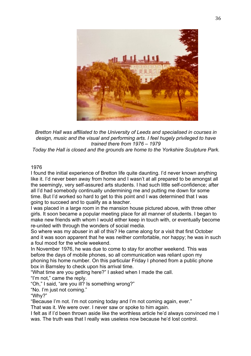![](_page_35_Picture_0.jpeg)

*Bretton Hall was affiliated to the University of Leeds and specialised in courses in design, music and the visual and performing arts. I feel hugely privileged to have trained there from 1976 – 1979*

*Today the Hall is closed and the grounds are home to the Yorkshire Sculpture Park.*

# 1976

I found the initial experience of Bretton life quite daunting. I'd never known anything like it. I'd never been away from home and I wasn't at all prepared to be amongst all the seemingly, very self-assured arts students. I had such little self-confidence; after all I'd had somebody continually undermining me and putting me down for some time. But I'd worked so hard to get to this point and I was determined that I was going to succeed and to qualify as a teacher.

I was placed in a large room in the mansion house pictured above, with three other girls. It soon became a popular meeting place for all manner of students. I began to make new friends with whom I would either keep in touch with, or eventually become re-united with through the wonders of social media.

So where was my abuser in all of this? He came along for a visit that first October and it was soon apparent that he was neither comfortable, nor happy; he was in such a foul mood for the whole weekend.

In November 1976, he was due to come to stay for another weekend. This was before the days of mobile phones, so all communication was reliant upon my phoning his home number. On this particular Friday I phoned from a public phone box in Barnsley to check upon his arrival time.

"What time are you getting here?" I asked when I made the call.

"I'm not," came the reply.

"Oh," I said, "are you ill? Is something wrong?"

"No. I'm just not coming."

"Why?"

"Because I'm not. I'm not coming today and I'm not coming again, ever."

That was it. We were over. I never saw or spoke to him again.

I felt as if I'd been thrown aside like the worthless article he'd always convinced me I was. The truth was that I really was useless now because he'd lost control.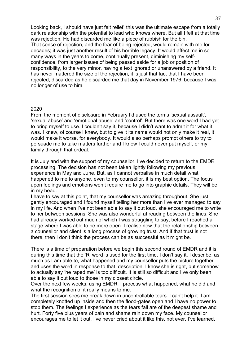Looking back, I should have just felt relief; this was the ultimate escape from a totally dark relationship with the potential to lead who knows where. But all I felt at that time was rejection. He had discarded me like a piece of rubbish for the bin. That sense of rejection, and the fear of being rejected, would remain with me for decades; it was just another result of his horrible legacy. It would affect me in so many ways in the years to come, continually present, diminishing my selfconfidence, from larger issues of being passed aside for a job or position of responsibility, to the very minor, having a text ignored or unanswered by a friend. It has never mattered the size of the rejection, it is just that fact that I have been rejected, discarded as he discarded me that day in November 1976, because I was no longer of use to him.

#### 2020

From the moment of disclosure in February I'd used the terms 'sexual assault', 'sexual abuse' and 'emotional abuse' and 'control'. But there was one word I had yet to bring myself to use. I couldn't say it, because I didn't want to admit it for what it was. I knew, of course I knew, but to give it its name would not only make it real, it would make it worse, for everybody. It would also perhaps prompt others to try to persuade me to take matters further and I knew I could never put myself, or my family through that ordeal.

It is July and with the support of my counsellor, I've decided to return to the EMDR processing. The decision has not been taken lightly following my previous experience in May and June. But, as I cannot verbalise in much detail what happened to me to anyone, even to my counsellor, it is my best option. The focus upon feelings and emotions won't require me to go into graphic details. They will be in my head.

I have to say at this point, that my counsellor was amazing throughout. She just gently encouraged and I found myself telling her more than I've ever managed to say in my life. And when I've not been able to say it out loud, she encouraged me to write to her between sessions. She was also wonderful at reading between the lines. She had already worked out much of which I was struggling to say, before I reached a stage where I was able to be more open. I realise now that the relationship between a counsellor and client is a long process of growing trust. And if that trust is not there, then I don't think the process can be as successful as it might be.

There is a time of preparation before we begin this second round of EMDR and it is during this time that the 'R' word is used for the first time. I don't say it. I describe, as much as I am able to, what happened and my counsellor puts the picture together and uses the word in response to that description. I know she is right, but somehow to actually say 'he raped me' is too difficult. It is still so difficult and I've only been able to say it out loud to those in my closest circle.

Over the next few weeks, using EMDR, I process what happened, what he did and what the recognition of it really means to me.

The first session sees me break down in uncontrollable tears. I can't help it. I am completely knotted up inside and then the flood-gates open and I have no power to stop them. The feelings I experience as the tears fall are of the deepest shame and hurt. Forty five plus years of pain and shame rain down my face. My counsellor encourages me to let it out. I've never cried about it like this, not ever. I've learned,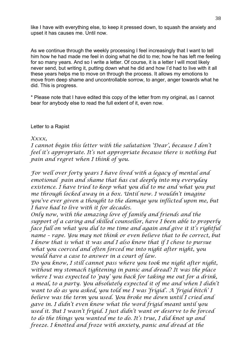like I have with everything else, to keep it pressed down, to squash the anxiety and upset it has causes me. Until now.

As we continue through the weekly processing I feel increasingly that I want to tell him how he had made me feel in doing what he did to me; how he has left me feeling for so many years. And so I write a letter. Of course, it is a letter I will most likely never send, but writing it, putting down what he did and how I'd had to live with it all these years helps me to move on through the process. It allows my emotions to move from deep shame and uncontrollable sorrow, to anger, anger towards what he did. This is progress.

\* Please note that I have edited this copy of the letter from my original, as I cannot bear for anybody else to read the full extent of it, even now.

# Letter to a Rapist

# *Xxxx,*

*I cannot begin this letter with the salutation 'Dear', because I don't feel it's appropriate. It's not appropriate because there is nothing but pain and regret when I think of you.* 

*For well over forty years I have lived with a legacy of mental and emotional pain and shame that has cut deeply into my everyday existence. I have tried to keep what you did to me and what you put me through locked away in a box. Until now. I wouldn't imagine you've ever given a thought to the damage you inflicted upon me, but I have had to live with it for decades.* 

*Only now, with the amazing love of family and friends and the support of a caring and skilled counsellor, have I been able to properly face full on what you did to me time and again and give it it's rightful name – rape. You may not think or even believe that to be correct, but I know that is what it was and I also know that if I chose to pursue what you coerced and often forced me into night after night, you would have a case to answer in a court of law.* 

*Do you know, I still cannot pass where you took me night after night, without my stomach tightening in panic and dread? It was the place where I was expected to 'pay' you back for taking me out for a drink, a meal, to a party. You absolutely expected it of me and when I didn't want to do as you asked, you told me I was 'frigid'. A 'frigid bitch' I believe was the term you used. You broke me down until I cried and gave in. I didn't even know what the word frigid meant until you used it. But I wasn't frigid. I just didn't want or deserve to be forced to do the things you wanted me to do. It's true, I did knot up and freeze. I knotted and froze with anxiety, panic and dread at the*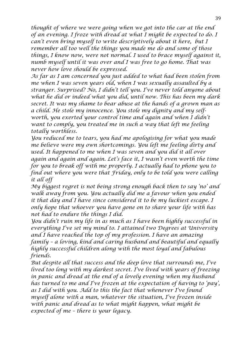*thought of where we were going when we got into the car at the end of an evening. I froze with dread at what I might be expected to do. I can't even bring myself to write descriptively about it here, but I remember all too well the things you made me do and some of those things, I know now, were not normal. I used to brace myself against it, numb myself until it was over and I was free to go home. That was never how love should be expressed.* 

*As far as I am concerned you just added to what had been stolen from me when I was seven years old, when I was sexually assaulted by a stranger. Surprised? No, I didn't tell you. I've never told anyone about what he did or indeed what you did, until now. This has been my dark secret. It was my shame to bear abuse at the hands of a grown man as a child. He stole my innocence. You stole my dignity and my selfworth, you exerted your control time and again and when I didn't*  want to comply, you treated me in such a way that left me feeling *totally worthless.* 

*You reduced me to tears, you had me apologising for what you made me believe were my own shortcomings. You left me feeling dirty and used. It happened to me when I was seven and you did it all over again and again and again. Let's face it, I wasn't even worth the time for you to break off with me properly. I actually had to phone you to find out where you were that Friday, only to be told you were calling it all off*

*My biggest regret is not being strong enough back then to say 'no' and walk away from you. You actually did me a favour when you ended it that day and I have since considered it to be my luckiest escape. I only hope that whoever you have gone on to share your life with has not had to endure the things I did.* 

*You didn't ruin my life in as much as I have been highly successful in everything I've set my mind to. I attained two Degrees at University and I have reached the top of my profession. I have an amazing family – a loving, kind and caring husband and beautiful and equally highly successful children along with the most loyal and fabulous friends.* 

*But despite all that success and the deep love that surrounds me, I've lived too long with my darkest secret. I've lived with years of freezing in panic and dread at the end of a lovely evening when my husband has turned to me and I've frozen at the expectation of having to 'pay', as I did with you. Add to this the fact that whenever I've found myself alone with a man, whatever the situation, I've frozen inside with panic and dread as to what might happen, what might be expected of me – there is your legacy.*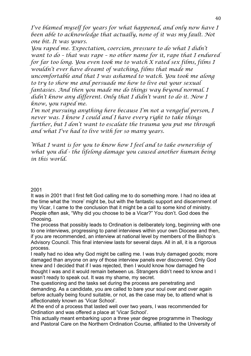*I've blamed myself for years for what happened, and only now have I been able to acknowledge that actually, none of it was my fault. Not one bit. It was yours.* 

*You raped me. Expectation, coercion, pressure to do what I didn't want to do – that was rape – no other name for it, rape that I endured for far too long. You even took me to watch X rated sex films, films I wouldn't ever have dreamt of watching, films that made me uncomfortable and that I was ashamed to watch. You took me along to try to show me and persuade me how to live out your sexual fantasies. And then you made me do things way beyond normal. I didn't know any different. Only that I didn't want to do it. Now I know, you raped me.*

*I'm not pursuing anything here because I'm not a vengeful person, I never was. I know I could and I have every right to take things further, but I don't want to escalate the trauma you put me through and what I've had to live with for so many years.* 

*What I want is for you to know how I feel and to take ownership of what you did - the lifelong damage you caused another human being in this world.* 

# 2001

It was in 2001 that I first felt God calling me to do something more. I had no idea at the time what the 'more' might be, but with the fantastic support and discernment of my Vicar, I came to the conclusion that it might be a call to some kind of ministry. People often ask, "Why did you choose to be a Vicar?" You don't. God does the choosing.

The process that possibly leads to Ordination is deliberately long, beginning with one to one interviews, progressing to panel interviews within your own Diocese and then, if you are recommended, an interview at national level by members of the Bishop's Advisory Council. This final interview lasts for several days. All in all, it is a rigorous process.

I really had no idea why God might be calling me. I was truly damaged goods; more damaged than anyone on any of those interview panels ever discovered. Only God knew and I decided that if I was rejected, then I would know how damaged he thought I was and it would remain between us. Strangers didn't need to know and I wasn't ready to speak out. It was my shame, my secret.

The questioning and the tasks set during the process are penetrating and demanding. As a candidate, you are called to bare your soul over and over again before actually being found suitable, or not, as the case may be, to attend what is affectionately known as 'Vicar School'.

At the end of a process that lasted well over two years, I was recommended for Ordination and was offered a place at 'Vicar School'.

This actually meant embarking upon a three year degree programme in Theology and Pastoral Care on the Northern Ordination Course, affiliated to the University of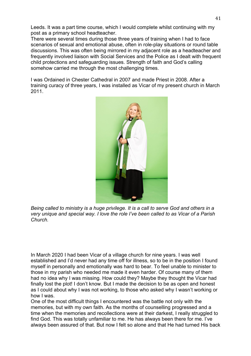Leeds. It was a part time course, which I would complete whilst continuing with my post as a primary school headteacher.

There were several times during those three years of training when I had to face scenarios of sexual and emotional abuse, often in role-play situations or round table discussions. This was often being mirrored in my adjacent role as a headteacher and frequently involved liaison with Social Services and the Police as I dealt with frequent child protections and safeguarding issues. Strength of faith and God's calling somehow carried me through the most challenging times.

I was Ordained in Chester Cathedral in 2007 and made Priest in 2008. After a training curacy of three years, I was installed as Vicar of my present church in March 2011.

![](_page_40_Picture_3.jpeg)

*Being called to ministry is a huge privilege. It is a call to serve God and others in a very unique and special way. I love the role I've been called to as Vicar of a Parish Church.*

In March 2020 I had been Vicar of a village church for nine years. I was well established and I'd never had any time off for illness, so to be in the position I found myself in personally and emotionally was hard to bear. To feel unable to minister to those in my parish who needed me made it even harder. Of course many of them had no idea why I was missing. How could they? Maybe they thought the Vicar had finally lost the plot! I don't know. But I made the decision to be as open and honest as I could about why I was not working, to those who asked why I wasn't working or how I was.

One of the most difficult things I encountered was the battle not only with the memories, but with my own faith. As the months of counselling progressed and a time when the memories and recollections were at their darkest, I really struggled to find God. This was totally unfamiliar to me. He has always been there for me. I've always been assured of that. But now I felt so alone and that He had turned His back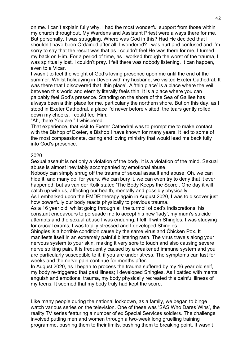on me. I can't explain fully why. I had the most wonderful support from those within my church throughout. My Wardens and Assistant Priest were always there for me. But personally, I was struggling. Where was God in this? Had He decided that I shouldn't have been Ordained after all, I wondered? I was hurt and confused and I'm sorry to say that the result was that as I couldn't feel He was there for me, I turned my back on Him. For a period of time, as I worked through the worst of the trauma, I was spiritually lost. I couldn't pray. I felt there was nobody listening. It can happen, even to a Vicar.

I wasn't to feel the weight of God's loving presence upon me until the end of the summer. Whilst holidaying in Devon with my husband, we visited Exeter Cathedral. It was there that I discovered that 'thin place'. A 'thin place' is a place where the veil between this world and eternity literally feels thin. It is a place where you can palpably feel God's presence. Standing on the shore of the Sea of Galilee has always been a thin place for me, particularly the northern shore. But on this day, as I stood in Exeter Cathedral, a place I'd never before visited, the tears gently rolled down my cheeks. I could feel Him.

"Ah, there You are," I whispered.

That experience, that visit to Exeter Cathedral was to prompt me to make contact with the Bishop of Exeter, a Bishop I have known for many years. It led to some of the most compassionate, caring and loving ministry that would lead me back fully into God's presence.

## 2020

Sexual assault is not only a violation of the body, it is a violation of the mind. Sexual abuse is almost inevitably accompanied by emotional abuse.

Nobody can simply shrug off the trauma of sexual assault and abuse. Oh, we can hide it, and many do, for years. We can bury it, we can even try to deny that it ever happened, but as van der Kolk stated 'The Body Keeps the Score'. One day it will catch up with us, affecting our health, mentally and possibly physically.

As I embarked upon the EMDR therapy again in August 2020, I was to discover just how powerfully our body reacts physically to previous trauma.

As a 16 year old, whilst going through all the turmoil of dad's indiscretions, his constant endeavours to persuade me to accept his new 'lady', my mum's suicide attempts and the sexual abuse I was enduring, I fell ill with Shingles. I was studying for crucial exams, I was totally stressed and I developed Shingles.

Shingles is a horrible condition cause by the same virus and Chicken Pox. It manifests itself in an extremely painful blistering rash. The virus travels along your nervous system to your skin, making it very sore to touch and also causing severe nerve striking pain. It is frequently caused by a weakened immune system and you are particularly susceptible to it, if you are under stress. The symptoms can last for weeks and the nerve pain continue for months after.

In August 2020, as I began to process the trauma suffered by my 16 year old self, my body re-triggered that past illness; I developed Shingles. As I battled with mental anguish and emotional trauma, my body physically recreated this painful illness of my teens. It seemed that my body truly had kept the score.

Like many people during the national lockdown, as a family, we began to binge watch various series on the television. One of these was 'SAS Who Dares Wins', the reality TV series featuring a number of ex Special Services soldiers. The challenge involved putting men and women through a two-week long gruelling training programme, pushing them to their limits, pushing them to breaking point. It wasn't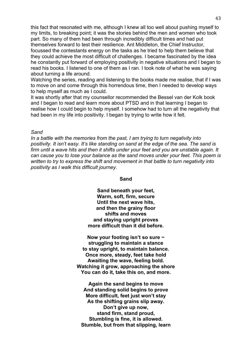this fact that resonated with me, although I knew all too well about pushing myself to my limits, to breaking point; it was the stories behind the men and women who took part. So many of them had been through incredibly difficult times and had put themselves forward to test their resilience. Ant Middleton, the Chief Instructor, focussed the contestants energy on the tasks as he tried to help them believe that they could achieve the most difficult of challenges. I became fascinated by the idea he constantly put forward of employing positivity in negative situations and I began to read his books. I listened to one of them as I ran. I took note of what he was saying about turning a life around.

Watching the series, reading and listening to the books made me realise, that if I was to move on and come through this horrendous time, then I needed to develop ways to help myself as much as I could.

It was shortly after that my counsellor recommended the Bessel van der Kolk book and I began to read and learn more about PTSD and in that learning I began to realise how I could begin to help myself. I somehow had to turn all the negativity that had been in my life into positivity. I began by trying to write how it felt.

#### *Sand*

*In a battle with the memories from the past, I am trying to turn negativity into positivity. It isn't easy. It's like standing on sand at the edge of the sea. The sand is firm until a wave hits and then it shifts under your feet and you are unstable again. It can cause you to lose your balance as the sand moves under your feet. This poem is written to try to express the shift and movement in that battle to turn negativity into positivity as I walk this difficult journey.* 

#### **Sand**

**Sand beneath your feet, Warm, soft, firm, secure Until the next wave hits, and then the grainy floor shifts and moves and staying upright proves more difficult than it did before.**

**Now your footing isn't so sure ~ struggling to maintain a stance to stay upright, to maintain balance. Once more, steady, feet take hold Awaiting the wave, feeling bold. Watching it grow, approaching the shore You can do it, take this on, and more.**

**Again the sand begins to move And standing solid begins to prove More difficult, feet just won't stay As the shifting grains slip away. Don't give up now, stand firm, stand proud, Stumbling is fine, it is allowed. Stumble, but from that slipping, learn**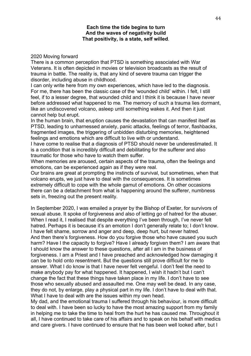## **Each time the tide begins to turn And the waves of negativity build That positivity, is a state, self willed***.*

#### 2020 Moving forward

There is a common perception that PTSD is something associated with War Veterans. It is often depicted in movies or television broadcasts as the result of trauma in battle. The reality is, that any kind of severe trauma can trigger the disorder, including abuse in childhood.

I can only write here from my own experiences, which have led to the diagnosis. For me, there has been the classic case of the 'wounded child' within. I felt, I still feel, if to a lesser degree, that wounded child and I think it is because I have never before addressed what happened to me. The memory of such a trauma lies dormant, like an undiscovered volcano, asleep until something wakes it. And then it just cannot help but erupt.

In the human brain, that eruption causes the devastation that can manifest itself as PTSD, leading to unharnessed anxiety, panic attacks, feelings of terror, flashbacks, fragmented images, the triggering of unbidden disturbing memories, heightened feelings and emotions which are difficult to live with or understand.

I have come to realise that a diagnosis of PTSD should never be underestimated. It is a condition that is incredibly difficult and debilitating for the sufferer and also traumatic for those who have to watch them suffer.

When memories are aroused, certain aspects of the trauma, often the feelings and emotions, can be experienced again as if they were real.

Our brains are great at prompting the instincts of survival, but sometimes, when that volcano erupts, we just have to deal with the consequences. It is sometimes extremely difficult to cope with the whole gamut of emotions. On other occasions there can be a detachment from what is happening around the sufferer, numbness sets in, freezing out the present reality.

In September 2020, I was emailed a prayer by the Bishop of Exeter, for survivors of sexual abuse. It spoke of forgiveness and also of letting go of hatred for the abuser. When I read it, I realised that despite everything I've been through, I've never felt hatred. Perhaps it is because it's an emotion I don't generally relate to; I don't know. I have felt shame, sorrow and anger and deep, deep hurt, but never hatred. And then there's forgiveness. How do you forgive those who have caused you such harm? Have I the capacity to forgive? Have I already forgiven them? I am aware that I should know the answer to these questions, after all I am in the business of forgiveness. I am a Priest and I have preached and acknowledged how damaging it can be to hold onto resentment. But the questions still prove difficult for me to answer. What I do know is that I have never felt vengeful. I don't feel the need to make anybody pay for what happened. It happened, I wish it hadn't but I can't change the fact that these things have taken place in my life. I don't have to see those who sexually abused and assaulted me. One may well be dead. In any case, they do not, by enlarge, play a physical part in my life. I don't have to deal with that. What I have to deal with are the issues within my own head.

My dad, and the emotional trauma I suffered through his behaviour, is more difficult to deal with. I have been so lucky to have the most amazing support from my family in helping me to take the time to heal from the hurt he has caused me. Throughout it all, I have continued to take care of his affairs and to speak on his behalf with medics and care givers. I have continued to ensure that he has been well looked after, but I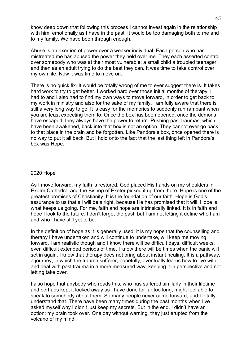know deep down that following this process I cannot invest again in the relationship with him, emotionally as I have in the past. It would be too damaging both to me and to my family. We have been through enough.

Abuse is an exertion of power over a weaker individual. Each person who has mistreated me has abused the power they held over me. They each asserted control over somebody who was at their most vulnerable: a small child a troubled teenager, and then as an adult trying to do the best they can. It was time to take control over my own life. Now it was time to move on.

There is no quick fix. It would be totally wrong of me to ever suggest there is. It takes hard work to try to get better. I worked hard over those initial months of therapy. I had to and I also had to find my own ways to move forward, in order to get back to my work in ministry and also for the sake of my family. I am fully aware that there is still a very long way to go. It is easy for the memories to suddenly run rampant when you are least expecting them to. Once the box has been opened, once the demons have escaped, they always have the power to return. Pushing past traumas, which have been awakened, back into that box is not an option. They cannot ever go back to that place in the brain and be forgotten. Like Pandora's box, once opened there is no way to put it all back. But I hold onto the fact that the last thing left in Pandora's box was Hope.

## 2020 Hope

As I move forward, my faith is restored. God placed His hands on my shoulders in Exeter Cathedral and the Bishop of Exeter picked it up from there. Hope is one of the greatest promises of Christianity. It is the foundation of our faith. Hope is God's assurance to us that all will be alright, because He has promised that it will. Hope is what keeps us going. For me, faith and hope are intrinsically linked. It is in faith and hope I look to the future. I don't forget the past, but I am not letting it define who I am and who I have still yet to be.

In the definition of hope as it is generally used: it is my hope that the counselling and therapy I have undertaken and will continue to undertake, will keep me moving forward. I am realistic though and I know there will be difficult days, difficult weeks, even difficult extended periods of time. I know there will be times when the panic will set in again. I know that therapy does not bring about instant healing. It is a pathway, a journey, in which the trauma sufferer, hopefully, eventually learns how to live with and deal with past trauma in a more measured way, keeping it in perspective and not letting take over.

I also hope that anybody who reads this, who has suffered similarly in their lifetime and perhaps kept it locked away as I have done for far too long, might feel able to speak to somebody about them. So many people never come forward, and I totally understand that. There have been many times during the past months when I've asked myself why I didn't just keep my secrets. But in the end, I didn't have an option; my brain took over. One day without warning, they just erupted from the volcano of my mind.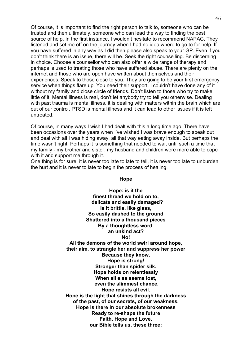Of course, it is important to find the right person to talk to, someone who can be trusted and then ultimately, someone who can lead the way to finding the best source of help. In the first instance, I wouldn't hesitate to recommend NAPAC. They listened and set me off on the journey when I had no idea where to go to for help. If you have suffered in any way as I did then please also speak to your GP. Even if you don't think there is an issue, there will be. Seek the right counselling. Be discerning in choice. Choose a counsellor who can also offer a wide range of therapy and perhaps is used to treating those who have suffered abuse. There are plenty on the internet and those who are open have written about themselves and their experiences. Speak to those close to you. They are going to be your first emergency service when things flare up. You need their support. I couldn't have done any of it without my family and close circle of friends. Don't listen to those who try to make little of it. Mental illness is real, don't let anybody try to tell you otherwise. Dealing with past trauma is mental illness, it is dealing with matters within the brain which are out of our control. PTSD is mental illness and it can lead to other issues if it is left untreated.

Of course, in many ways I wish I had dealt with this a long time ago. There have been occasions over the years when I've wished I was brave enough to speak out and deal with all I was hiding away, all that way eating away inside. But perhaps the time wasn't right. Perhaps it is something that needed to wait until such a time that my family - my brother and sister, my husband and children were more able to cope with it and support me through it.

One thing is for sure, it is never too late to late to tell, it is never too late to unburden the hurt and it is never to late to begin the process of healing.

#### **Hope**

**Hope: is it the finest thread we hold on to, delicate and easily damaged? Is it brittle, like glass, So easily dashed to the ground Shattered into a thousand pieces By a thoughtless word, an unkind act? No! All the demons of the world swirl around hope, their aim, to strangle her and suppress her power Because they know, Hope is strong! Stronger than spider silk. Hope holds on relentlessly When all else seems lost, even the slimmest chance. Hope resists all evil. Hope is the light that shines through the darkness of the past, of our secrets, of our weakness. Hope is there in our absolute brokenness Ready to re-shape the future Faith, Hope and Love, our Bible tells us, these three:**